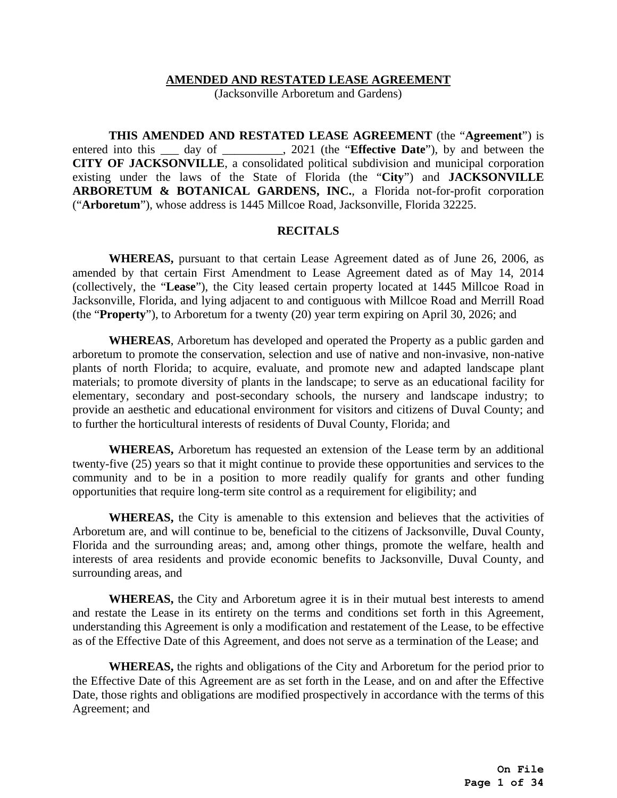### **AMENDED AND RESTATED LEASE AGREEMENT**

(Jacksonville Arboretum and Gardens)

**THIS AMENDED AND RESTATED LEASE AGREEMENT** (the "**Agreement**") is entered into this <u>each</u> day of <u>each of 2021</u> (the "**Effective Date**"), by and between the **CITY OF JACKSONVILLE**, a consolidated political subdivision and municipal corporation existing under the laws of the State of Florida (the "**City**") and **JACKSONVILLE ARBORETUM & BOTANICAL GARDENS, INC.**, a Florida not-for-profit corporation ("**Arboretum**"), whose address is 1445 Millcoe Road, Jacksonville, Florida 32225.

### **RECITALS**

**WHEREAS,** pursuant to that certain Lease Agreement dated as of June 26, 2006, as amended by that certain First Amendment to Lease Agreement dated as of May 14, 2014 (collectively, the "**Lease**"), the City leased certain property located at 1445 Millcoe Road in Jacksonville, Florida, and lying adjacent to and contiguous with Millcoe Road and Merrill Road (the "**Property**"), to Arboretum for a twenty (20) year term expiring on April 30, 2026; and

**WHEREAS**, Arboretum has developed and operated the Property as a public garden and arboretum to promote the conservation, selection and use of native and non-invasive, non-native plants of north Florida; to acquire, evaluate, and promote new and adapted landscape plant materials; to promote diversity of plants in the landscape; to serve as an educational facility for elementary, secondary and post-secondary schools, the nursery and landscape industry; to provide an aesthetic and educational environment for visitors and citizens of Duval County; and to further the horticultural interests of residents of Duval County, Florida; and

**WHEREAS,** Arboretum has requested an extension of the Lease term by an additional twenty-five (25) years so that it might continue to provide these opportunities and services to the community and to be in a position to more readily qualify for grants and other funding opportunities that require long-term site control as a requirement for eligibility; and

**WHEREAS,** the City is amenable to this extension and believes that the activities of Arboretum are, and will continue to be, beneficial to the citizens of Jacksonville, Duval County, Florida and the surrounding areas; and, among other things, promote the welfare, health and interests of area residents and provide economic benefits to Jacksonville, Duval County, and surrounding areas, and

**WHEREAS,** the City and Arboretum agree it is in their mutual best interests to amend and restate the Lease in its entirety on the terms and conditions set forth in this Agreement, understanding this Agreement is only a modification and restatement of the Lease, to be effective as of the Effective Date of this Agreement, and does not serve as a termination of the Lease; and

**WHEREAS,** the rights and obligations of the City and Arboretum for the period prior to the Effective Date of this Agreement are as set forth in the Lease, and on and after the Effective Date, those rights and obligations are modified prospectively in accordance with the terms of this Agreement; and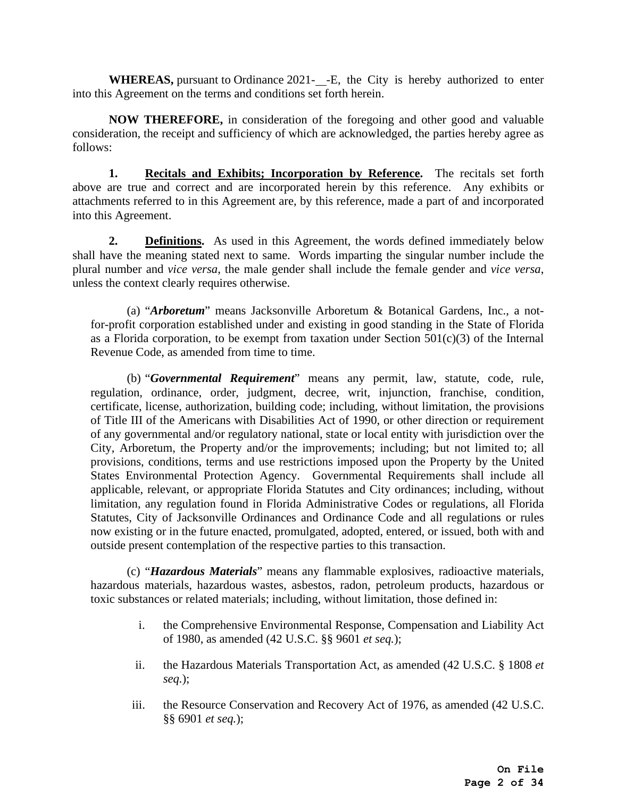**WHEREAS,** pursuant to Ordinance 2021-<sub>1</sub>-E, the City is hereby authorized to enter into this Agreement on the terms and conditions set forth herein.

**NOW THEREFORE,** in consideration of the foregoing and other good and valuable consideration, the receipt and sufficiency of which are acknowledged, the parties hereby agree as follows:

**1. Recitals and Exhibits; Incorporation by Reference.** The recitals set forth above are true and correct and are incorporated herein by this reference. Any exhibits or attachments referred to in this Agreement are, by this reference, made a part of and incorporated into this Agreement.

**2. Definitions.** As used in this Agreement, the words defined immediately below shall have the meaning stated next to same. Words imparting the singular number include the plural number and *vice versa*, the male gender shall include the female gender and *vice versa*, unless the context clearly requires otherwise.

(a) "*Arboretum*" means Jacksonville Arboretum & Botanical Gardens, Inc., a notfor-profit corporation established under and existing in good standing in the State of Florida as a Florida corporation, to be exempt from taxation under Section  $501(c)(3)$  of the Internal Revenue Code, as amended from time to time.

(b) "*Governmental Requirement*" means any permit, law, statute, code, rule, regulation, ordinance, order, judgment, decree, writ, injunction, franchise, condition, certificate, license, authorization, building code; including, without limitation, the provisions of Title III of the Americans with Disabilities Act of 1990, or other direction or requirement of any governmental and/or regulatory national, state or local entity with jurisdiction over the City, Arboretum, the Property and/or the improvements; including; but not limited to; all provisions, conditions, terms and use restrictions imposed upon the Property by the United States Environmental Protection Agency. Governmental Requirements shall include all applicable, relevant, or appropriate Florida Statutes and City ordinances; including, without limitation, any regulation found in Florida Administrative Codes or regulations, all Florida Statutes, City of Jacksonville Ordinances and Ordinance Code and all regulations or rules now existing or in the future enacted, promulgated, adopted, entered, or issued, both with and outside present contemplation of the respective parties to this transaction.

(c) "*Hazardous Materials*" means any flammable explosives, radioactive materials, hazardous materials, hazardous wastes, asbestos, radon, petroleum products, hazardous or toxic substances or related materials; including, without limitation, those defined in:

- i. the Comprehensive Environmental Response, Compensation and Liability Act of 1980, as amended (42 U.S.C. §§ 9601 *et seq.*);
- ii. the Hazardous Materials Transportation Act, as amended (42 U.S.C. § 1808 *et seq.*);
- iii. the Resource Conservation and Recovery Act of 1976, as amended (42 U.S.C. §§ 6901 *et seq.*);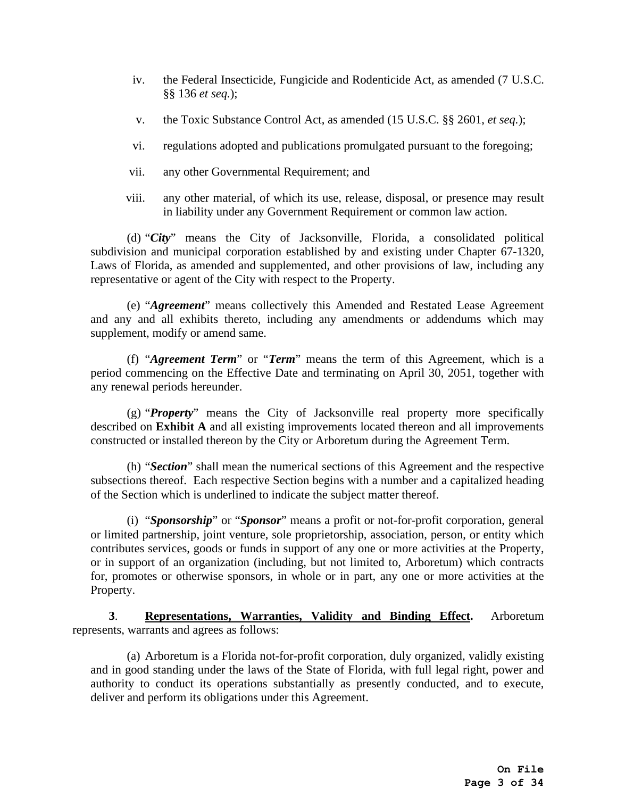- iv. the Federal Insecticide, Fungicide and Rodenticide Act, as amended (7 U.S.C. §§ 136 *et seq.*);
- v. the Toxic Substance Control Act, as amended (15 U.S.C. §§ 2601, *et seq.*);
- vi. regulations adopted and publications promulgated pursuant to the foregoing;
- vii. any other Governmental Requirement; and
- viii. any other material, of which its use, release, disposal, or presence may result in liability under any Government Requirement or common law action.

(d) "*City*" means the City of Jacksonville, Florida, a consolidated political subdivision and municipal corporation established by and existing under Chapter 67-1320, Laws of Florida, as amended and supplemented, and other provisions of law, including any representative or agent of the City with respect to the Property.

(e) "*Agreement*" means collectively this Amended and Restated Lease Agreement and any and all exhibits thereto, including any amendments or addendums which may supplement, modify or amend same.

(f) "*Agreement Term*" or "*Term*" means the term of this Agreement, which is a period commencing on the Effective Date and terminating on April 30, 2051, together with any renewal periods hereunder.

(g) "*Property*" means the City of Jacksonville real property more specifically described on **Exhibit A** and all existing improvements located thereon and all improvements constructed or installed thereon by the City or Arboretum during the Agreement Term.

(h) "*Section*" shall mean the numerical sections of this Agreement and the respective subsections thereof. Each respective Section begins with a number and a capitalized heading of the Section which is underlined to indicate the subject matter thereof.

(i) "*Sponsorship*" or "*Sponsor*" means a profit or not-for-profit corporation, general or limited partnership, joint venture, sole proprietorship, association, person, or entity which contributes services, goods or funds in support of any one or more activities at the Property, or in support of an organization (including, but not limited to, Arboretum) which contracts for, promotes or otherwise sponsors, in whole or in part, any one or more activities at the Property.

**3**. **Representations, Warranties, Validity and Binding Effect.** Arboretum represents, warrants and agrees as follows:

(a) Arboretum is a Florida not-for-profit corporation, duly organized, validly existing and in good standing under the laws of the State of Florida, with full legal right, power and authority to conduct its operations substantially as presently conducted, and to execute, deliver and perform its obligations under this Agreement.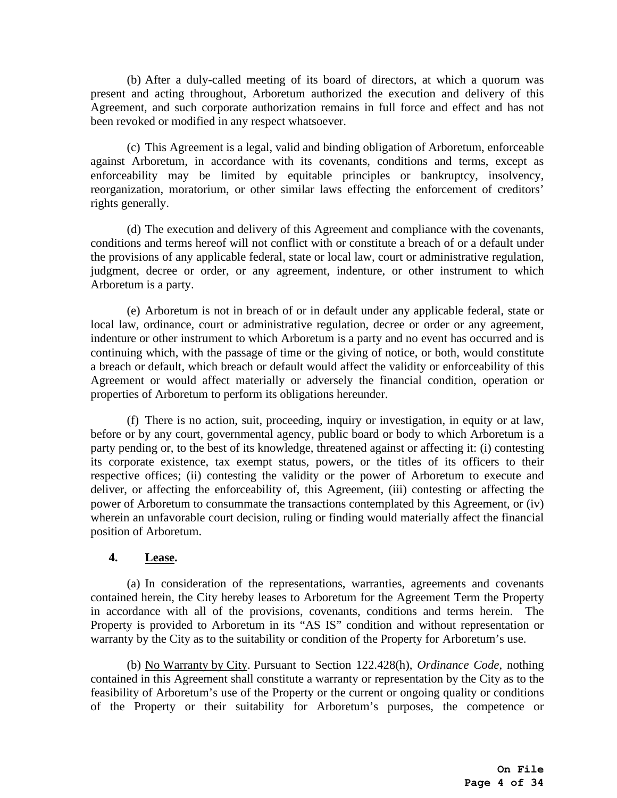(b) After a duly-called meeting of its board of directors, at which a quorum was present and acting throughout, Arboretum authorized the execution and delivery of this Agreement, and such corporate authorization remains in full force and effect and has not been revoked or modified in any respect whatsoever.

(c) This Agreement is a legal, valid and binding obligation of Arboretum, enforceable against Arboretum, in accordance with its covenants, conditions and terms, except as enforceability may be limited by equitable principles or bankruptcy, insolvency, reorganization, moratorium, or other similar laws effecting the enforcement of creditors' rights generally.

(d) The execution and delivery of this Agreement and compliance with the covenants, conditions and terms hereof will not conflict with or constitute a breach of or a default under the provisions of any applicable federal, state or local law, court or administrative regulation, judgment, decree or order, or any agreement, indenture, or other instrument to which Arboretum is a party.

(e) Arboretum is not in breach of or in default under any applicable federal, state or local law, ordinance, court or administrative regulation, decree or order or any agreement, indenture or other instrument to which Arboretum is a party and no event has occurred and is continuing which, with the passage of time or the giving of notice, or both, would constitute a breach or default, which breach or default would affect the validity or enforceability of this Agreement or would affect materially or adversely the financial condition, operation or properties of Arboretum to perform its obligations hereunder.

(f) There is no action, suit, proceeding, inquiry or investigation, in equity or at law, before or by any court, governmental agency, public board or body to which Arboretum is a party pending or, to the best of its knowledge, threatened against or affecting it: (i) contesting its corporate existence, tax exempt status, powers, or the titles of its officers to their respective offices; (ii) contesting the validity or the power of Arboretum to execute and deliver, or affecting the enforceability of, this Agreement, (iii) contesting or affecting the power of Arboretum to consummate the transactions contemplated by this Agreement, or (iv) wherein an unfavorable court decision, ruling or finding would materially affect the financial position of Arboretum.

### **4. Lease.**

(a) In consideration of the representations, warranties, agreements and covenants contained herein, the City hereby leases to Arboretum for the Agreement Term the Property in accordance with all of the provisions, covenants, conditions and terms herein. The Property is provided to Arboretum in its "AS IS" condition and without representation or warranty by the City as to the suitability or condition of the Property for Arboretum's use.

(b) No Warranty by City. Pursuant to Section 122.428(h), *Ordinance Code*, nothing contained in this Agreement shall constitute a warranty or representation by the City as to the feasibility of Arboretum's use of the Property or the current or ongoing quality or conditions of the Property or their suitability for Arboretum's purposes, the competence or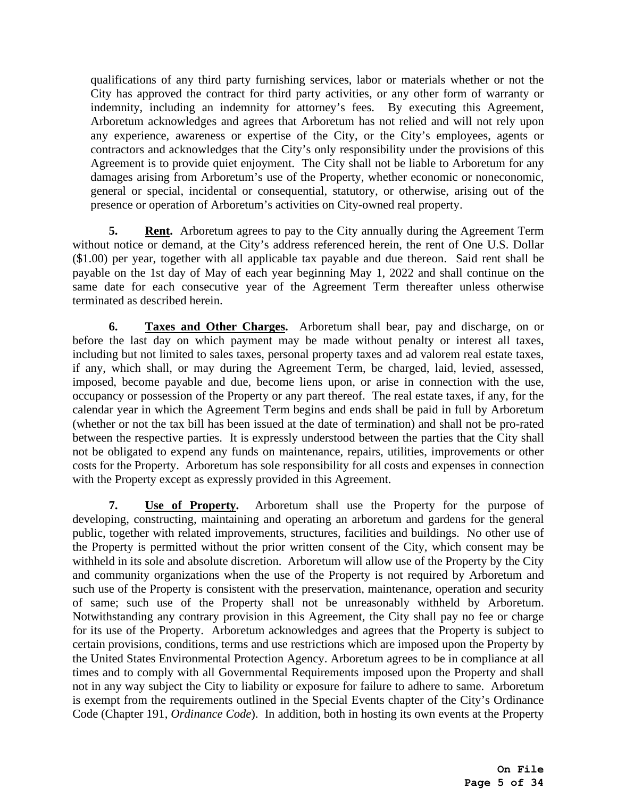qualifications of any third party furnishing services, labor or materials whether or not the City has approved the contract for third party activities, or any other form of warranty or indemnity, including an indemnity for attorney's fees. By executing this Agreement, Arboretum acknowledges and agrees that Arboretum has not relied and will not rely upon any experience, awareness or expertise of the City, or the City's employees, agents or contractors and acknowledges that the City's only responsibility under the provisions of this Agreement is to provide quiet enjoyment. The City shall not be liable to Arboretum for any damages arising from Arboretum's use of the Property, whether economic or noneconomic, general or special, incidental or consequential, statutory, or otherwise, arising out of the presence or operation of Arboretum's activities on City-owned real property.

**5.** Rent. Arboretum agrees to pay to the City annually during the Agreement Term without notice or demand, at the City's address referenced herein, the rent of One U.S. Dollar (\$1.00) per year, together with all applicable tax payable and due thereon. Said rent shall be payable on the 1st day of May of each year beginning May 1, 2022 and shall continue on the same date for each consecutive year of the Agreement Term thereafter unless otherwise terminated as described herein.

**6. Taxes and Other Charges.** Arboretum shall bear, pay and discharge, on or before the last day on which payment may be made without penalty or interest all taxes, including but not limited to sales taxes, personal property taxes and ad valorem real estate taxes, if any, which shall, or may during the Agreement Term, be charged, laid, levied, assessed, imposed, become payable and due, become liens upon, or arise in connection with the use, occupancy or possession of the Property or any part thereof. The real estate taxes, if any, for the calendar year in which the Agreement Term begins and ends shall be paid in full by Arboretum (whether or not the tax bill has been issued at the date of termination) and shall not be pro-rated between the respective parties. It is expressly understood between the parties that the City shall not be obligated to expend any funds on maintenance, repairs, utilities, improvements or other costs for the Property. Arboretum has sole responsibility for all costs and expenses in connection with the Property except as expressly provided in this Agreement.

**7. Use of Property.** Arboretum shall use the Property for the purpose of developing, constructing, maintaining and operating an arboretum and gardens for the general public, together with related improvements, structures, facilities and buildings. No other use of the Property is permitted without the prior written consent of the City, which consent may be withheld in its sole and absolute discretion. Arboretum will allow use of the Property by the City and community organizations when the use of the Property is not required by Arboretum and such use of the Property is consistent with the preservation, maintenance, operation and security of same; such use of the Property shall not be unreasonably withheld by Arboretum. Notwithstanding any contrary provision in this Agreement, the City shall pay no fee or charge for its use of the Property. Arboretum acknowledges and agrees that the Property is subject to certain provisions, conditions, terms and use restrictions which are imposed upon the Property by the United States Environmental Protection Agency. Arboretum agrees to be in compliance at all times and to comply with all Governmental Requirements imposed upon the Property and shall not in any way subject the City to liability or exposure for failure to adhere to same. Arboretum is exempt from the requirements outlined in the Special Events chapter of the City's Ordinance Code (Chapter 191, *Ordinance Code*). In addition, both in hosting its own events at the Property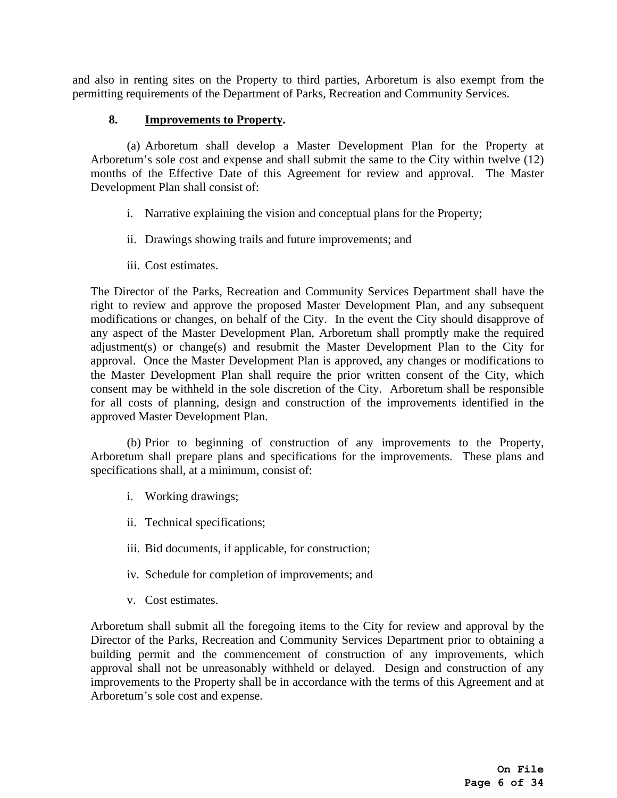and also in renting sites on the Property to third parties, Arboretum is also exempt from the permitting requirements of the Department of Parks, Recreation and Community Services.

### **8. Improvements to Property.**

(a) Arboretum shall develop a Master Development Plan for the Property at Arboretum's sole cost and expense and shall submit the same to the City within twelve (12) months of the Effective Date of this Agreement for review and approval. The Master Development Plan shall consist of:

- i. Narrative explaining the vision and conceptual plans for the Property;
- ii. Drawings showing trails and future improvements; and
- iii. Cost estimates.

The Director of the Parks, Recreation and Community Services Department shall have the right to review and approve the proposed Master Development Plan, and any subsequent modifications or changes, on behalf of the City. In the event the City should disapprove of any aspect of the Master Development Plan, Arboretum shall promptly make the required adjustment(s) or change(s) and resubmit the Master Development Plan to the City for approval. Once the Master Development Plan is approved, any changes or modifications to the Master Development Plan shall require the prior written consent of the City, which consent may be withheld in the sole discretion of the City. Arboretum shall be responsible for all costs of planning, design and construction of the improvements identified in the approved Master Development Plan.

(b) Prior to beginning of construction of any improvements to the Property, Arboretum shall prepare plans and specifications for the improvements. These plans and specifications shall, at a minimum, consist of:

- i. Working drawings;
- ii. Technical specifications;
- iii. Bid documents, if applicable, for construction;
- iv. Schedule for completion of improvements; and
- v. Cost estimates.

Arboretum shall submit all the foregoing items to the City for review and approval by the Director of the Parks, Recreation and Community Services Department prior to obtaining a building permit and the commencement of construction of any improvements, which approval shall not be unreasonably withheld or delayed. Design and construction of any improvements to the Property shall be in accordance with the terms of this Agreement and at Arboretum's sole cost and expense.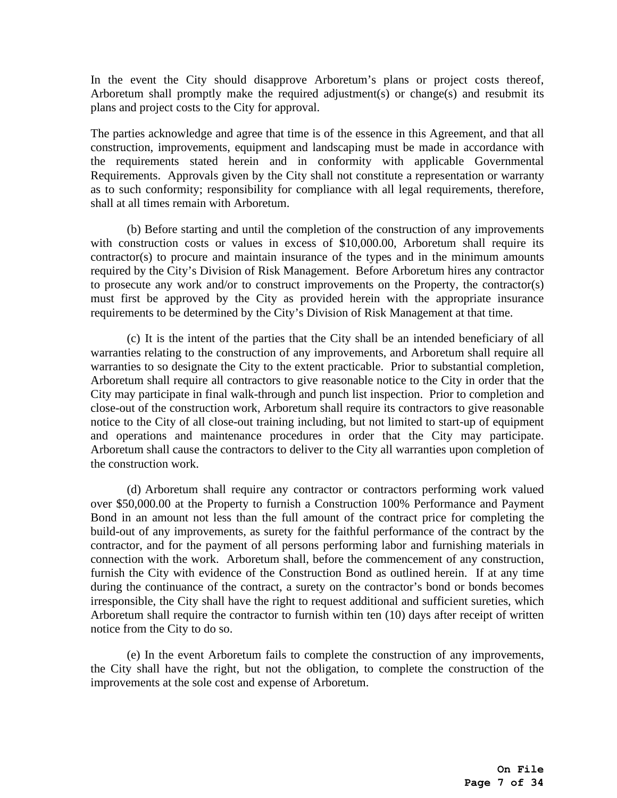In the event the City should disapprove Arboretum's plans or project costs thereof, Arboretum shall promptly make the required adjustment(s) or change(s) and resubmit its plans and project costs to the City for approval.

The parties acknowledge and agree that time is of the essence in this Agreement, and that all construction, improvements, equipment and landscaping must be made in accordance with the requirements stated herein and in conformity with applicable Governmental Requirements. Approvals given by the City shall not constitute a representation or warranty as to such conformity; responsibility for compliance with all legal requirements, therefore, shall at all times remain with Arboretum.

(b) Before starting and until the completion of the construction of any improvements with construction costs or values in excess of \$10,000.00, Arboretum shall require its contractor(s) to procure and maintain insurance of the types and in the minimum amounts required by the City's Division of Risk Management. Before Arboretum hires any contractor to prosecute any work and/or to construct improvements on the Property, the contractor(s) must first be approved by the City as provided herein with the appropriate insurance requirements to be determined by the City's Division of Risk Management at that time.

(c) It is the intent of the parties that the City shall be an intended beneficiary of all warranties relating to the construction of any improvements, and Arboretum shall require all warranties to so designate the City to the extent practicable. Prior to substantial completion, Arboretum shall require all contractors to give reasonable notice to the City in order that the City may participate in final walk-through and punch list inspection. Prior to completion and close-out of the construction work, Arboretum shall require its contractors to give reasonable notice to the City of all close-out training including, but not limited to start-up of equipment and operations and maintenance procedures in order that the City may participate. Arboretum shall cause the contractors to deliver to the City all warranties upon completion of the construction work.

(d) Arboretum shall require any contractor or contractors performing work valued over \$50,000.00 at the Property to furnish a Construction 100% Performance and Payment Bond in an amount not less than the full amount of the contract price for completing the build-out of any improvements, as surety for the faithful performance of the contract by the contractor, and for the payment of all persons performing labor and furnishing materials in connection with the work. Arboretum shall, before the commencement of any construction, furnish the City with evidence of the Construction Bond as outlined herein. If at any time during the continuance of the contract, a surety on the contractor's bond or bonds becomes irresponsible, the City shall have the right to request additional and sufficient sureties, which Arboretum shall require the contractor to furnish within ten (10) days after receipt of written notice from the City to do so.

(e) In the event Arboretum fails to complete the construction of any improvements, the City shall have the right, but not the obligation, to complete the construction of the improvements at the sole cost and expense of Arboretum.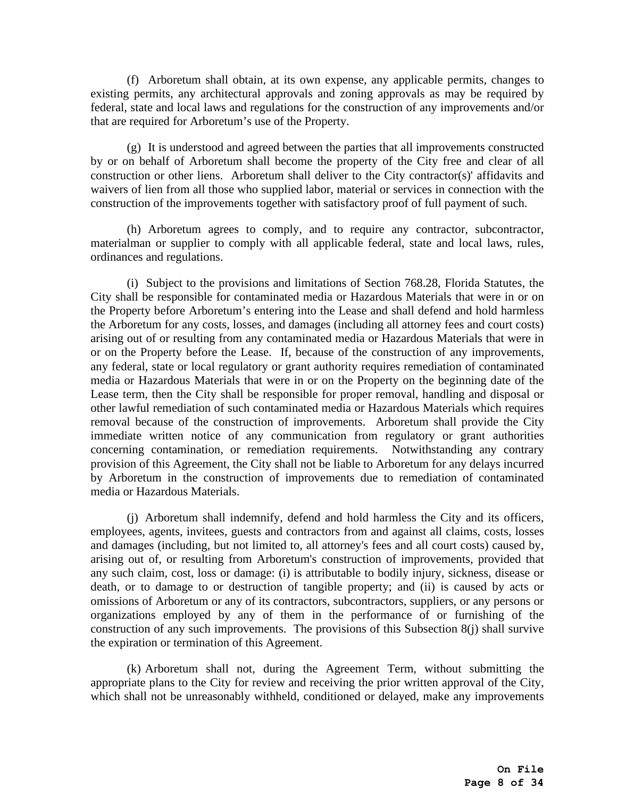(f) Arboretum shall obtain, at its own expense, any applicable permits, changes to existing permits, any architectural approvals and zoning approvals as may be required by federal, state and local laws and regulations for the construction of any improvements and/or that are required for Arboretum's use of the Property.

(g) It is understood and agreed between the parties that all improvements constructed by or on behalf of Arboretum shall become the property of the City free and clear of all construction or other liens. Arboretum shall deliver to the City contractor(s)' affidavits and waivers of lien from all those who supplied labor, material or services in connection with the construction of the improvements together with satisfactory proof of full payment of such.

(h) Arboretum agrees to comply, and to require any contractor, subcontractor, materialman or supplier to comply with all applicable federal, state and local laws, rules, ordinances and regulations.

(i) Subject to the provisions and limitations of Section 768.28, Florida Statutes, the City shall be responsible for contaminated media or Hazardous Materials that were in or on the Property before Arboretum's entering into the Lease and shall defend and hold harmless the Arboretum for any costs, losses, and damages (including all attorney fees and court costs) arising out of or resulting from any contaminated media or Hazardous Materials that were in or on the Property before the Lease. If, because of the construction of any improvements, any federal, state or local regulatory or grant authority requires remediation of contaminated media or Hazardous Materials that were in or on the Property on the beginning date of the Lease term, then the City shall be responsible for proper removal, handling and disposal or other lawful remediation of such contaminated media or Hazardous Materials which requires removal because of the construction of improvements. Arboretum shall provide the City immediate written notice of any communication from regulatory or grant authorities concerning contamination, or remediation requirements. Notwithstanding any contrary provision of this Agreement, the City shall not be liable to Arboretum for any delays incurred by Arboretum in the construction of improvements due to remediation of contaminated media or Hazardous Materials.

(j) Arboretum shall indemnify, defend and hold harmless the City and its officers, employees, agents, invitees, guests and contractors from and against all claims, costs, losses and damages (including, but not limited to, all attorney's fees and all court costs) caused by, arising out of, or resulting from Arboretum's construction of improvements, provided that any such claim, cost, loss or damage: (i) is attributable to bodily injury, sickness, disease or death, or to damage to or destruction of tangible property; and (ii) is caused by acts or omissions of Arboretum or any of its contractors, subcontractors, suppliers, or any persons or organizations employed by any of them in the performance of or furnishing of the construction of any such improvements. The provisions of this Subsection 8(j) shall survive the expiration or termination of this Agreement.

(k) Arboretum shall not, during the Agreement Term, without submitting the appropriate plans to the City for review and receiving the prior written approval of the City, which shall not be unreasonably withheld, conditioned or delayed, make any improvements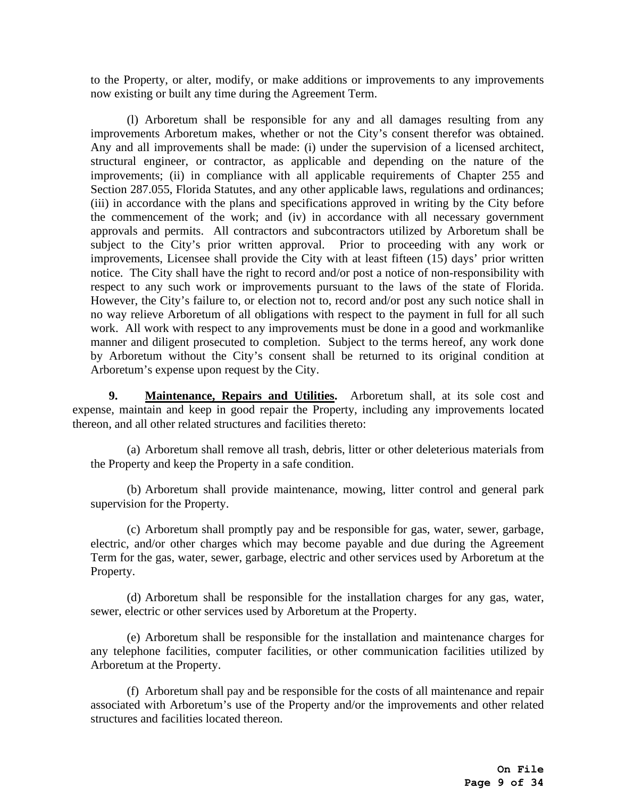to the Property, or alter, modify, or make additions or improvements to any improvements now existing or built any time during the Agreement Term.

(l) Arboretum shall be responsible for any and all damages resulting from any improvements Arboretum makes, whether or not the City's consent therefor was obtained. Any and all improvements shall be made: (i) under the supervision of a licensed architect, structural engineer, or contractor, as applicable and depending on the nature of the improvements; (ii) in compliance with all applicable requirements of Chapter 255 and Section 287.055, Florida Statutes, and any other applicable laws, regulations and ordinances; (iii) in accordance with the plans and specifications approved in writing by the City before the commencement of the work; and (iv) in accordance with all necessary government approvals and permits. All contractors and subcontractors utilized by Arboretum shall be subject to the City's prior written approval. Prior to proceeding with any work or improvements, Licensee shall provide the City with at least fifteen (15) days' prior written notice. The City shall have the right to record and/or post a notice of non-responsibility with respect to any such work or improvements pursuant to the laws of the state of Florida. However, the City's failure to, or election not to, record and/or post any such notice shall in no way relieve Arboretum of all obligations with respect to the payment in full for all such work. All work with respect to any improvements must be done in a good and workmanlike manner and diligent prosecuted to completion. Subject to the terms hereof, any work done by Arboretum without the City's consent shall be returned to its original condition at Arboretum's expense upon request by the City.

**9. Maintenance, Repairs and Utilities.** Arboretum shall, at its sole cost and expense, maintain and keep in good repair the Property, including any improvements located thereon, and all other related structures and facilities thereto:

(a) Arboretum shall remove all trash, debris, litter or other deleterious materials from the Property and keep the Property in a safe condition.

(b) Arboretum shall provide maintenance, mowing, litter control and general park supervision for the Property.

(c) Arboretum shall promptly pay and be responsible for gas, water, sewer, garbage, electric, and/or other charges which may become payable and due during the Agreement Term for the gas, water, sewer, garbage, electric and other services used by Arboretum at the Property.

(d) Arboretum shall be responsible for the installation charges for any gas, water, sewer, electric or other services used by Arboretum at the Property.

(e) Arboretum shall be responsible for the installation and maintenance charges for any telephone facilities, computer facilities, or other communication facilities utilized by Arboretum at the Property.

(f) Arboretum shall pay and be responsible for the costs of all maintenance and repair associated with Arboretum's use of the Property and/or the improvements and other related structures and facilities located thereon.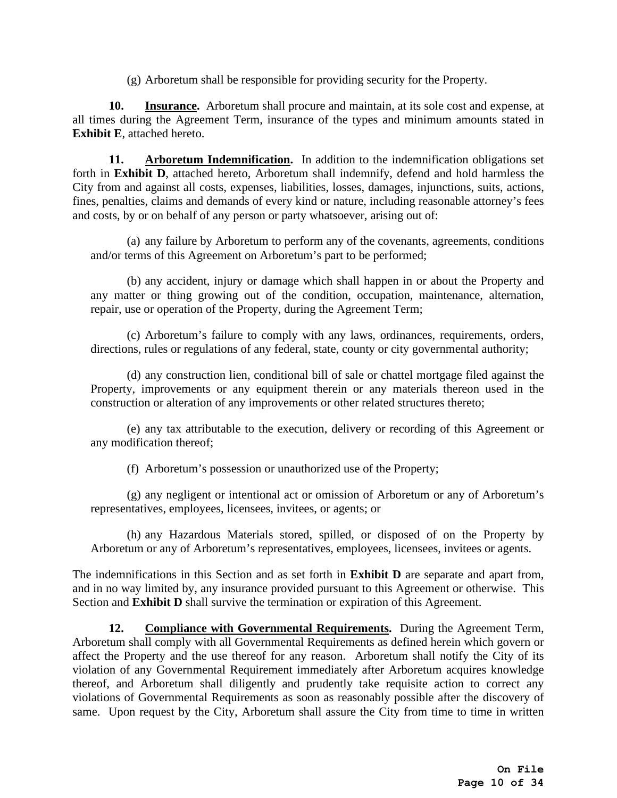(g) Arboretum shall be responsible for providing security for the Property.

**10. Insurance.** Arboretum shall procure and maintain, at its sole cost and expense, at all times during the Agreement Term, insurance of the types and minimum amounts stated in **Exhibit E**, attached hereto.

**11. Arboretum Indemnification.** In addition to the indemnification obligations set forth in **Exhibit D**, attached hereto, Arboretum shall indemnify, defend and hold harmless the City from and against all costs, expenses, liabilities, losses, damages, injunctions, suits, actions, fines, penalties, claims and demands of every kind or nature, including reasonable attorney's fees and costs, by or on behalf of any person or party whatsoever, arising out of:

(a) any failure by Arboretum to perform any of the covenants, agreements, conditions and/or terms of this Agreement on Arboretum's part to be performed;

(b) any accident, injury or damage which shall happen in or about the Property and any matter or thing growing out of the condition, occupation, maintenance, alternation, repair, use or operation of the Property, during the Agreement Term;

(c) Arboretum's failure to comply with any laws, ordinances, requirements, orders, directions, rules or regulations of any federal, state, county or city governmental authority;

(d) any construction lien, conditional bill of sale or chattel mortgage filed against the Property, improvements or any equipment therein or any materials thereon used in the construction or alteration of any improvements or other related structures thereto;

(e) any tax attributable to the execution, delivery or recording of this Agreement or any modification thereof;

(f) Arboretum's possession or unauthorized use of the Property;

(g) any negligent or intentional act or omission of Arboretum or any of Arboretum's representatives, employees, licensees, invitees, or agents; or

(h) any Hazardous Materials stored, spilled, or disposed of on the Property by Arboretum or any of Arboretum's representatives, employees, licensees, invitees or agents.

The indemnifications in this Section and as set forth in **Exhibit D** are separate and apart from, and in no way limited by, any insurance provided pursuant to this Agreement or otherwise. This Section and **Exhibit D** shall survive the termination or expiration of this Agreement.

**12. Compliance with Governmental Requirements.** During the Agreement Term, Arboretum shall comply with all Governmental Requirements as defined herein which govern or affect the Property and the use thereof for any reason. Arboretum shall notify the City of its violation of any Governmental Requirement immediately after Arboretum acquires knowledge thereof, and Arboretum shall diligently and prudently take requisite action to correct any violations of Governmental Requirements as soon as reasonably possible after the discovery of same. Upon request by the City, Arboretum shall assure the City from time to time in written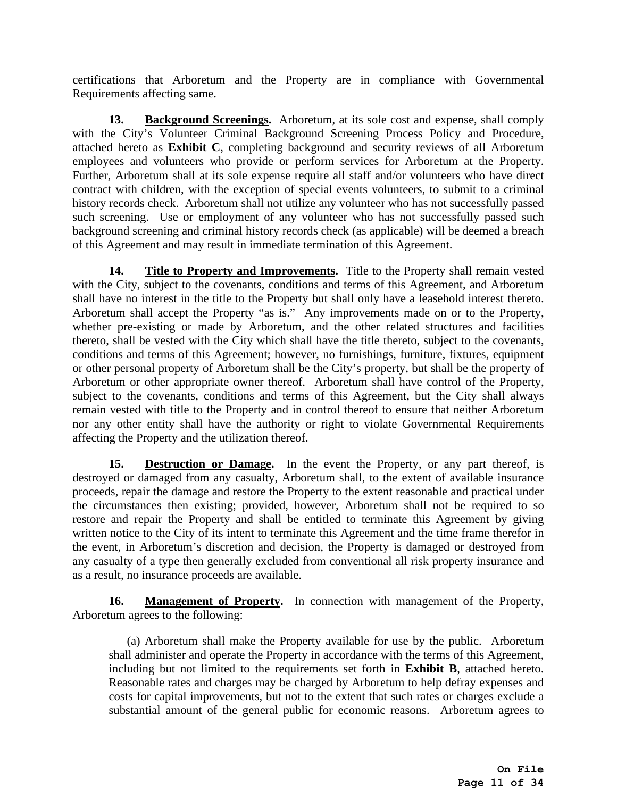certifications that Arboretum and the Property are in compliance with Governmental Requirements affecting same.

**13. Background Screenings.** Arboretum, at its sole cost and expense, shall comply with the City's Volunteer Criminal Background Screening Process Policy and Procedure, attached hereto as **Exhibit C**, completing background and security reviews of all Arboretum employees and volunteers who provide or perform services for Arboretum at the Property. Further, Arboretum shall at its sole expense require all staff and/or volunteers who have direct contract with children, with the exception of special events volunteers, to submit to a criminal history records check. Arboretum shall not utilize any volunteer who has not successfully passed such screening. Use or employment of any volunteer who has not successfully passed such background screening and criminal history records check (as applicable) will be deemed a breach of this Agreement and may result in immediate termination of this Agreement.

**14.** Title to Property and Improvements. Title to the Property shall remain vested with the City, subject to the covenants, conditions and terms of this Agreement, and Arboretum shall have no interest in the title to the Property but shall only have a leasehold interest thereto. Arboretum shall accept the Property "as is." Any improvements made on or to the Property, whether pre-existing or made by Arboretum, and the other related structures and facilities thereto, shall be vested with the City which shall have the title thereto, subject to the covenants, conditions and terms of this Agreement; however, no furnishings, furniture, fixtures, equipment or other personal property of Arboretum shall be the City's property, but shall be the property of Arboretum or other appropriate owner thereof. Arboretum shall have control of the Property, subject to the covenants, conditions and terms of this Agreement, but the City shall always remain vested with title to the Property and in control thereof to ensure that neither Arboretum nor any other entity shall have the authority or right to violate Governmental Requirements affecting the Property and the utilization thereof.

**15. Destruction or Damage.** In the event the Property, or any part thereof, is destroyed or damaged from any casualty, Arboretum shall, to the extent of available insurance proceeds, repair the damage and restore the Property to the extent reasonable and practical under the circumstances then existing; provided, however, Arboretum shall not be required to so restore and repair the Property and shall be entitled to terminate this Agreement by giving written notice to the City of its intent to terminate this Agreement and the time frame therefor in the event, in Arboretum's discretion and decision, the Property is damaged or destroyed from any casualty of a type then generally excluded from conventional all risk property insurance and as a result, no insurance proceeds are available.

**16. Management of Property.** In connection with management of the Property, Arboretum agrees to the following:

(a) Arboretum shall make the Property available for use by the public. Arboretum shall administer and operate the Property in accordance with the terms of this Agreement, including but not limited to the requirements set forth in **Exhibit B**, attached hereto. Reasonable rates and charges may be charged by Arboretum to help defray expenses and costs for capital improvements, but not to the extent that such rates or charges exclude a substantial amount of the general public for economic reasons. Arboretum agrees to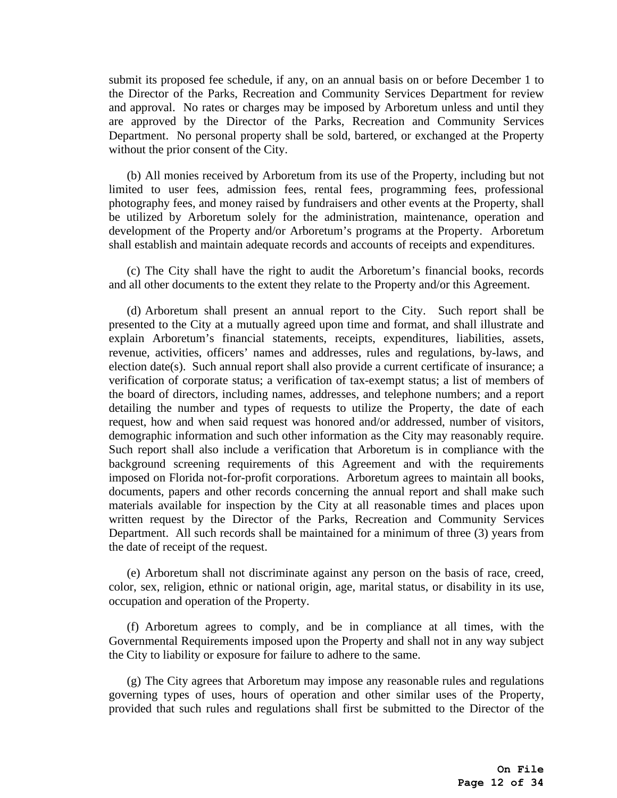submit its proposed fee schedule, if any, on an annual basis on or before December 1 to the Director of the Parks, Recreation and Community Services Department for review and approval. No rates or charges may be imposed by Arboretum unless and until they are approved by the Director of the Parks, Recreation and Community Services Department. No personal property shall be sold, bartered, or exchanged at the Property without the prior consent of the City.

(b) All monies received by Arboretum from its use of the Property, including but not limited to user fees, admission fees, rental fees, programming fees, professional photography fees, and money raised by fundraisers and other events at the Property, shall be utilized by Arboretum solely for the administration, maintenance, operation and development of the Property and/or Arboretum's programs at the Property. Arboretum shall establish and maintain adequate records and accounts of receipts and expenditures.

(c) The City shall have the right to audit the Arboretum's financial books, records and all other documents to the extent they relate to the Property and/or this Agreement.

(d) Arboretum shall present an annual report to the City. Such report shall be presented to the City at a mutually agreed upon time and format, and shall illustrate and explain Arboretum's financial statements, receipts, expenditures, liabilities, assets, revenue, activities, officers' names and addresses, rules and regulations, by-laws, and election date(s). Such annual report shall also provide a current certificate of insurance; a verification of corporate status; a verification of tax-exempt status; a list of members of the board of directors, including names, addresses, and telephone numbers; and a report detailing the number and types of requests to utilize the Property, the date of each request, how and when said request was honored and/or addressed, number of visitors, demographic information and such other information as the City may reasonably require. Such report shall also include a verification that Arboretum is in compliance with the background screening requirements of this Agreement and with the requirements imposed on Florida not-for-profit corporations. Arboretum agrees to maintain all books, documents, papers and other records concerning the annual report and shall make such materials available for inspection by the City at all reasonable times and places upon written request by the Director of the Parks, Recreation and Community Services Department. All such records shall be maintained for a minimum of three (3) years from the date of receipt of the request.

(e) Arboretum shall not discriminate against any person on the basis of race, creed, color, sex, religion, ethnic or national origin, age, marital status, or disability in its use, occupation and operation of the Property.

(f) Arboretum agrees to comply, and be in compliance at all times, with the Governmental Requirements imposed upon the Property and shall not in any way subject the City to liability or exposure for failure to adhere to the same.

(g) The City agrees that Arboretum may impose any reasonable rules and regulations governing types of uses, hours of operation and other similar uses of the Property, provided that such rules and regulations shall first be submitted to the Director of the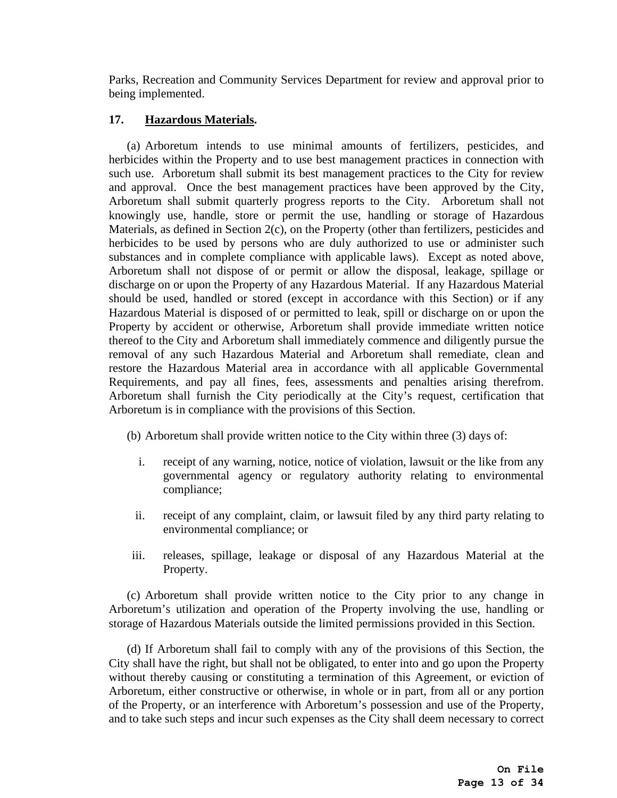Parks, Recreation and Community Services Department for review and approval prior to being implemented.

## **17. Hazardous Materials.**

(a) Arboretum intends to use minimal amounts of fertilizers, pesticides, and herbicides within the Property and to use best management practices in connection with such use. Arboretum shall submit its best management practices to the City for review and approval. Once the best management practices have been approved by the City, Arboretum shall submit quarterly progress reports to the City. Arboretum shall not knowingly use, handle, store or permit the use, handling or storage of Hazardous Materials, as defined in Section 2(c), on the Property (other than fertilizers, pesticides and herbicides to be used by persons who are duly authorized to use or administer such substances and in complete compliance with applicable laws). Except as noted above, Arboretum shall not dispose of or permit or allow the disposal, leakage, spillage or discharge on or upon the Property of any Hazardous Material. If any Hazardous Material should be used, handled or stored (except in accordance with this Section) or if any Hazardous Material is disposed of or permitted to leak, spill or discharge on or upon the Property by accident or otherwise, Arboretum shall provide immediate written notice thereof to the City and Arboretum shall immediately commence and diligently pursue the removal of any such Hazardous Material and Arboretum shall remediate, clean and restore the Hazardous Material area in accordance with all applicable Governmental Requirements, and pay all fines, fees, assessments and penalties arising therefrom. Arboretum shall furnish the City periodically at the City's request, certification that Arboretum is in compliance with the provisions of this Section.

(b) Arboretum shall provide written notice to the City within three (3) days of:

- i. receipt of any warning, notice, notice of violation, lawsuit or the like from any governmental agency or regulatory authority relating to environmental compliance;
- ii. receipt of any complaint, claim, or lawsuit filed by any third party relating to environmental compliance; or
- iii. releases, spillage, leakage or disposal of any Hazardous Material at the Property.

(c) Arboretum shall provide written notice to the City prior to any change in Arboretum's utilization and operation of the Property involving the use, handling or storage of Hazardous Materials outside the limited permissions provided in this Section.

(d) If Arboretum shall fail to comply with any of the provisions of this Section, the City shall have the right, but shall not be obligated, to enter into and go upon the Property without thereby causing or constituting a termination of this Agreement, or eviction of Arboretum, either constructive or otherwise, in whole or in part, from all or any portion of the Property, or an interference with Arboretum's possession and use of the Property, and to take such steps and incur such expenses as the City shall deem necessary to correct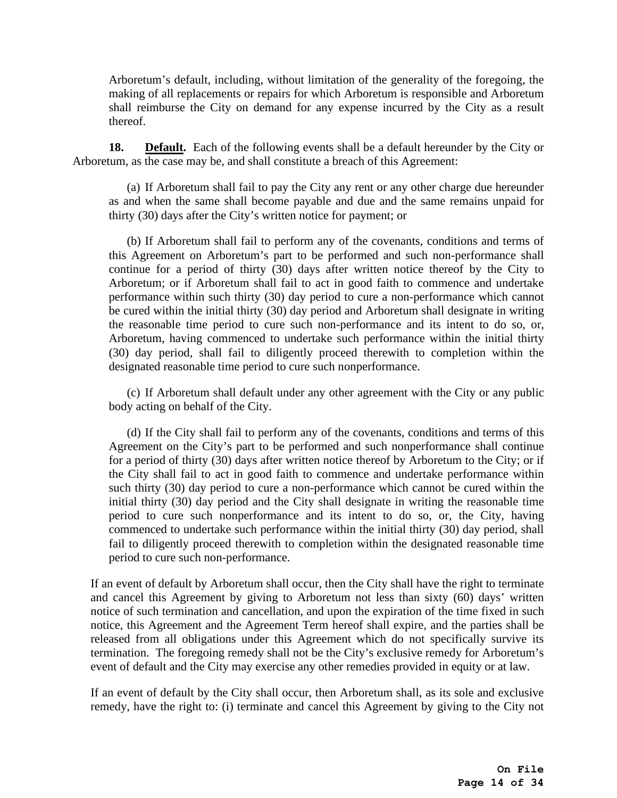Arboretum's default, including, without limitation of the generality of the foregoing, the making of all replacements or repairs for which Arboretum is responsible and Arboretum shall reimburse the City on demand for any expense incurred by the City as a result thereof.

**18. Default.** Each of the following events shall be a default hereunder by the City or Arboretum, as the case may be, and shall constitute a breach of this Agreement:

(a) If Arboretum shall fail to pay the City any rent or any other charge due hereunder as and when the same shall become payable and due and the same remains unpaid for thirty (30) days after the City's written notice for payment; or

(b) If Arboretum shall fail to perform any of the covenants, conditions and terms of this Agreement on Arboretum's part to be performed and such non-performance shall continue for a period of thirty (30) days after written notice thereof by the City to Arboretum; or if Arboretum shall fail to act in good faith to commence and undertake performance within such thirty (30) day period to cure a non-performance which cannot be cured within the initial thirty (30) day period and Arboretum shall designate in writing the reasonable time period to cure such non-performance and its intent to do so, or, Arboretum, having commenced to undertake such performance within the initial thirty (30) day period, shall fail to diligently proceed therewith to completion within the designated reasonable time period to cure such nonperformance.

(c) If Arboretum shall default under any other agreement with the City or any public body acting on behalf of the City.

(d) If the City shall fail to perform any of the covenants, conditions and terms of this Agreement on the City's part to be performed and such nonperformance shall continue for a period of thirty (30) days after written notice thereof by Arboretum to the City; or if the City shall fail to act in good faith to commence and undertake performance within such thirty (30) day period to cure a non-performance which cannot be cured within the initial thirty (30) day period and the City shall designate in writing the reasonable time period to cure such nonperformance and its intent to do so, or, the City, having commenced to undertake such performance within the initial thirty (30) day period, shall fail to diligently proceed therewith to completion within the designated reasonable time period to cure such non-performance.

If an event of default by Arboretum shall occur, then the City shall have the right to terminate and cancel this Agreement by giving to Arboretum not less than sixty (60) days' written notice of such termination and cancellation, and upon the expiration of the time fixed in such notice, this Agreement and the Agreement Term hereof shall expire, and the parties shall be released from all obligations under this Agreement which do not specifically survive its termination. The foregoing remedy shall not be the City's exclusive remedy for Arboretum's event of default and the City may exercise any other remedies provided in equity or at law.

If an event of default by the City shall occur, then Arboretum shall, as its sole and exclusive remedy, have the right to: (i) terminate and cancel this Agreement by giving to the City not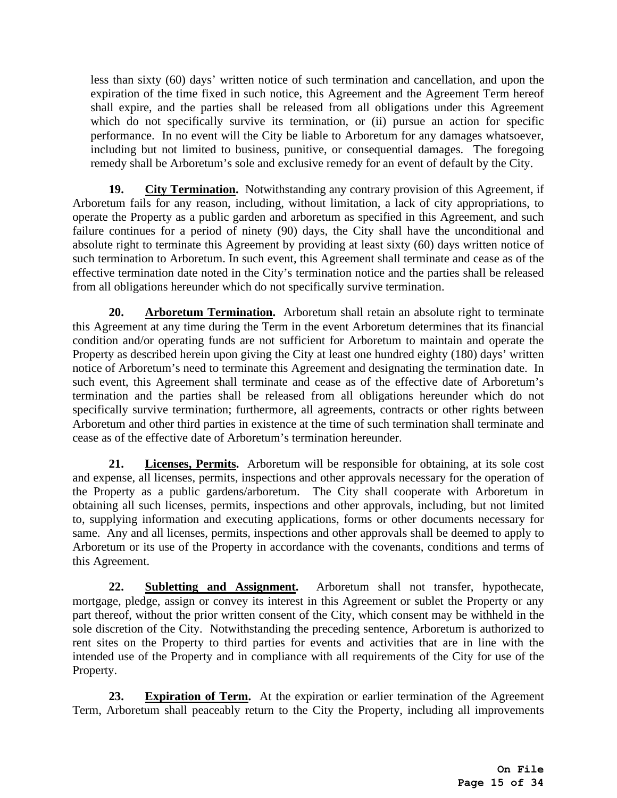less than sixty (60) days' written notice of such termination and cancellation, and upon the expiration of the time fixed in such notice, this Agreement and the Agreement Term hereof shall expire, and the parties shall be released from all obligations under this Agreement which do not specifically survive its termination, or (ii) pursue an action for specific performance. In no event will the City be liable to Arboretum for any damages whatsoever, including but not limited to business, punitive, or consequential damages. The foregoing remedy shall be Arboretum's sole and exclusive remedy for an event of default by the City.

**19. City Termination.** Notwithstanding any contrary provision of this Agreement, if Arboretum fails for any reason, including, without limitation, a lack of city appropriations, to operate the Property as a public garden and arboretum as specified in this Agreement, and such failure continues for a period of ninety (90) days, the City shall have the unconditional and absolute right to terminate this Agreement by providing at least sixty (60) days written notice of such termination to Arboretum. In such event, this Agreement shall terminate and cease as of the effective termination date noted in the City's termination notice and the parties shall be released from all obligations hereunder which do not specifically survive termination.

**20. Arboretum Termination.** Arboretum shall retain an absolute right to terminate this Agreement at any time during the Term in the event Arboretum determines that its financial condition and/or operating funds are not sufficient for Arboretum to maintain and operate the Property as described herein upon giving the City at least one hundred eighty (180) days' written notice of Arboretum's need to terminate this Agreement and designating the termination date. In such event, this Agreement shall terminate and cease as of the effective date of Arboretum's termination and the parties shall be released from all obligations hereunder which do not specifically survive termination; furthermore, all agreements, contracts or other rights between Arboretum and other third parties in existence at the time of such termination shall terminate and cease as of the effective date of Arboretum's termination hereunder.

**21. Licenses, Permits.** Arboretum will be responsible for obtaining, at its sole cost and expense, all licenses, permits, inspections and other approvals necessary for the operation of the Property as a public gardens/arboretum. The City shall cooperate with Arboretum in obtaining all such licenses, permits, inspections and other approvals, including, but not limited to, supplying information and executing applications, forms or other documents necessary for same. Any and all licenses, permits, inspections and other approvals shall be deemed to apply to Arboretum or its use of the Property in accordance with the covenants, conditions and terms of this Agreement.

**22. Subletting and Assignment.** Arboretum shall not transfer, hypothecate, mortgage, pledge, assign or convey its interest in this Agreement or sublet the Property or any part thereof, without the prior written consent of the City, which consent may be withheld in the sole discretion of the City. Notwithstanding the preceding sentence, Arboretum is authorized to rent sites on the Property to third parties for events and activities that are in line with the intended use of the Property and in compliance with all requirements of the City for use of the Property.

**23. Expiration of Term.** At the expiration or earlier termination of the Agreement Term, Arboretum shall peaceably return to the City the Property, including all improvements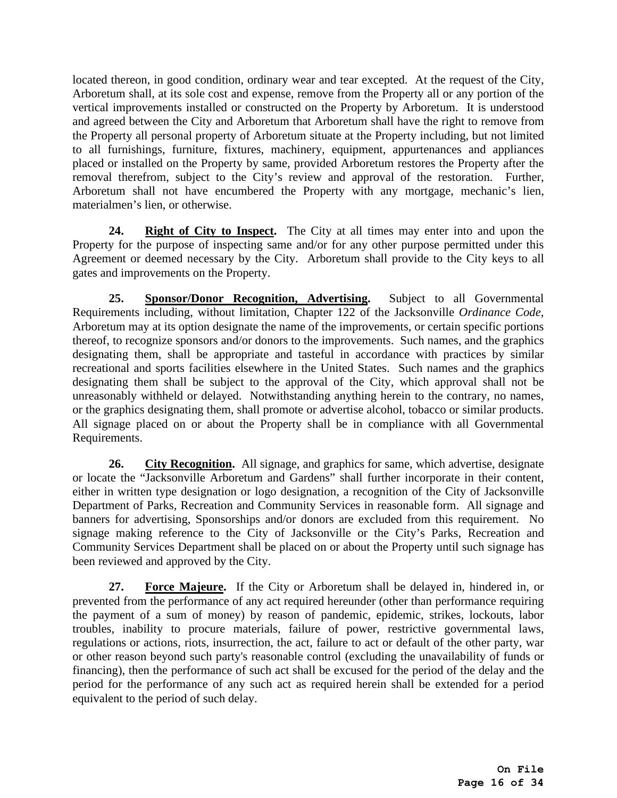located thereon, in good condition, ordinary wear and tear excepted. At the request of the City, Arboretum shall, at its sole cost and expense, remove from the Property all or any portion of the vertical improvements installed or constructed on the Property by Arboretum. It is understood and agreed between the City and Arboretum that Arboretum shall have the right to remove from the Property all personal property of Arboretum situate at the Property including, but not limited to all furnishings, furniture, fixtures, machinery, equipment, appurtenances and appliances placed or installed on the Property by same, provided Arboretum restores the Property after the removal therefrom, subject to the City's review and approval of the restoration. Further, Arboretum shall not have encumbered the Property with any mortgage, mechanic's lien, materialmen's lien, or otherwise.

**24. Right of City to Inspect.** The City at all times may enter into and upon the Property for the purpose of inspecting same and/or for any other purpose permitted under this Agreement or deemed necessary by the City. Arboretum shall provide to the City keys to all gates and improvements on the Property.

**25. Sponsor/Donor Recognition, Advertising.** Subject to all Governmental Requirements including, without limitation, Chapter 122 of the Jacksonville *Ordinance Code*, Arboretum may at its option designate the name of the improvements, or certain specific portions thereof, to recognize sponsors and/or donors to the improvements. Such names, and the graphics designating them, shall be appropriate and tasteful in accordance with practices by similar recreational and sports facilities elsewhere in the United States. Such names and the graphics designating them shall be subject to the approval of the City, which approval shall not be unreasonably withheld or delayed. Notwithstanding anything herein to the contrary, no names, or the graphics designating them, shall promote or advertise alcohol, tobacco or similar products. All signage placed on or about the Property shall be in compliance with all Governmental Requirements.

26. City Recognition. All signage, and graphics for same, which advertise, designate or locate the "Jacksonville Arboretum and Gardens" shall further incorporate in their content, either in written type designation or logo designation, a recognition of the City of Jacksonville Department of Parks, Recreation and Community Services in reasonable form. All signage and banners for advertising, Sponsorships and/or donors are excluded from this requirement. No signage making reference to the City of Jacksonville or the City's Parks, Recreation and Community Services Department shall be placed on or about the Property until such signage has been reviewed and approved by the City.

**27. Force Majeure.** If the City or Arboretum shall be delayed in, hindered in, or prevented from the performance of any act required hereunder (other than performance requiring the payment of a sum of money) by reason of pandemic, epidemic, strikes, lockouts, labor troubles, inability to procure materials, failure of power, restrictive governmental laws, regulations or actions, riots, insurrection, the act, failure to act or default of the other party, war or other reason beyond such party's reasonable control (excluding the unavailability of funds or financing), then the performance of such act shall be excused for the period of the delay and the period for the performance of any such act as required herein shall be extended for a period equivalent to the period of such delay.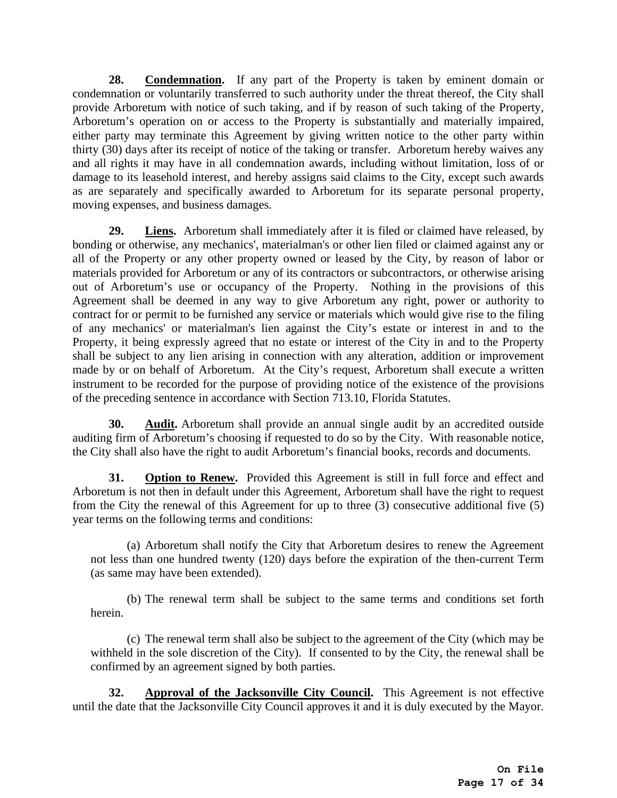**28. Condemnation.** If any part of the Property is taken by eminent domain or condemnation or voluntarily transferred to such authority under the threat thereof, the City shall provide Arboretum with notice of such taking, and if by reason of such taking of the Property, Arboretum's operation on or access to the Property is substantially and materially impaired, either party may terminate this Agreement by giving written notice to the other party within thirty (30) days after its receipt of notice of the taking or transfer. Arboretum hereby waives any and all rights it may have in all condemnation awards, including without limitation, loss of or damage to its leasehold interest, and hereby assigns said claims to the City, except such awards as are separately and specifically awarded to Arboretum for its separate personal property, moving expenses, and business damages.

**29. Liens.** Arboretum shall immediately after it is filed or claimed have released, by bonding or otherwise, any mechanics', materialman's or other lien filed or claimed against any or all of the Property or any other property owned or leased by the City, by reason of labor or materials provided for Arboretum or any of its contractors or subcontractors, or otherwise arising out of Arboretum's use or occupancy of the Property. Nothing in the provisions of this Agreement shall be deemed in any way to give Arboretum any right, power or authority to contract for or permit to be furnished any service or materials which would give rise to the filing of any mechanics' or materialman's lien against the City's estate or interest in and to the Property, it being expressly agreed that no estate or interest of the City in and to the Property shall be subject to any lien arising in connection with any alteration, addition or improvement made by or on behalf of Arboretum. At the City's request, Arboretum shall execute a written instrument to be recorded for the purpose of providing notice of the existence of the provisions of the preceding sentence in accordance with Section 713.10, Florida Statutes.

**30. Audit.** Arboretum shall provide an annual single audit by an accredited outside auditing firm of Arboretum's choosing if requested to do so by the City. With reasonable notice, the City shall also have the right to audit Arboretum's financial books, records and documents.

**31. Option to Renew.** Provided this Agreement is still in full force and effect and Arboretum is not then in default under this Agreement, Arboretum shall have the right to request from the City the renewal of this Agreement for up to three (3) consecutive additional five (5) year terms on the following terms and conditions:

(a) Arboretum shall notify the City that Arboretum desires to renew the Agreement not less than one hundred twenty (120) days before the expiration of the then-current Term (as same may have been extended).

(b) The renewal term shall be subject to the same terms and conditions set forth herein.

(c) The renewal term shall also be subject to the agreement of the City (which may be withheld in the sole discretion of the City). If consented to by the City, the renewal shall be confirmed by an agreement signed by both parties.

**32. Approval of the Jacksonville City Council.** This Agreement is not effective until the date that the Jacksonville City Council approves it and it is duly executed by the Mayor.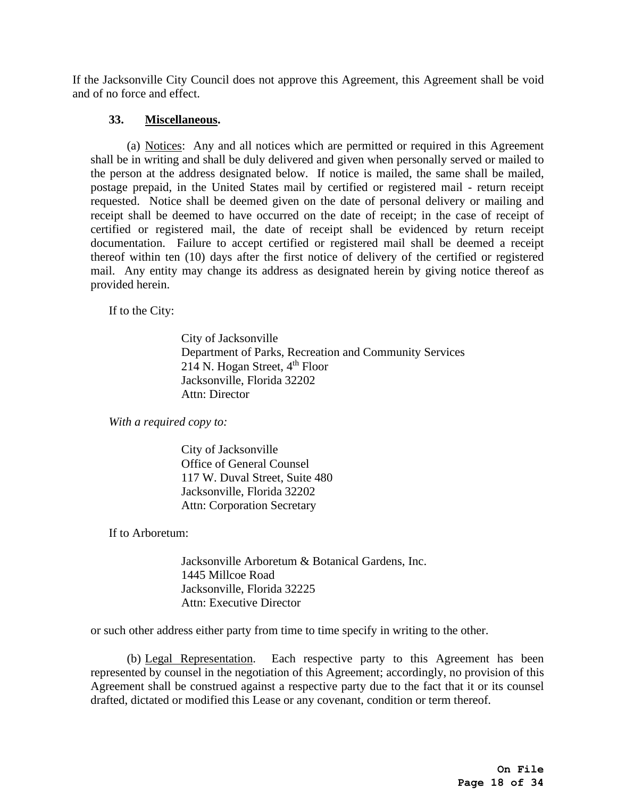If the Jacksonville City Council does not approve this Agreement, this Agreement shall be void and of no force and effect.

## **33. Miscellaneous.**

(a) Notices: Any and all notices which are permitted or required in this Agreement shall be in writing and shall be duly delivered and given when personally served or mailed to the person at the address designated below. If notice is mailed, the same shall be mailed, postage prepaid, in the United States mail by certified or registered mail - return receipt requested. Notice shall be deemed given on the date of personal delivery or mailing and receipt shall be deemed to have occurred on the date of receipt; in the case of receipt of certified or registered mail, the date of receipt shall be evidenced by return receipt documentation. Failure to accept certified or registered mail shall be deemed a receipt thereof within ten (10) days after the first notice of delivery of the certified or registered mail. Any entity may change its address as designated herein by giving notice thereof as provided herein.

If to the City:

 City of Jacksonville Department of Parks, Recreation and Community Services 214 N. Hogan Street,  $4<sup>th</sup>$  Floor Jacksonville, Florida 32202 Attn: Director

*With a required copy to:*

 City of Jacksonville Office of General Counsel 117 W. Duval Street, Suite 480 Jacksonville, Florida 32202 Attn: Corporation Secretary

If to Arboretum:

 Jacksonville Arboretum & Botanical Gardens, Inc. 1445 Millcoe Road Jacksonville, Florida 32225 Attn: Executive Director

or such other address either party from time to time specify in writing to the other.

(b) Legal Representation. Each respective party to this Agreement has been represented by counsel in the negotiation of this Agreement; accordingly, no provision of this Agreement shall be construed against a respective party due to the fact that it or its counsel drafted, dictated or modified this Lease or any covenant, condition or term thereof.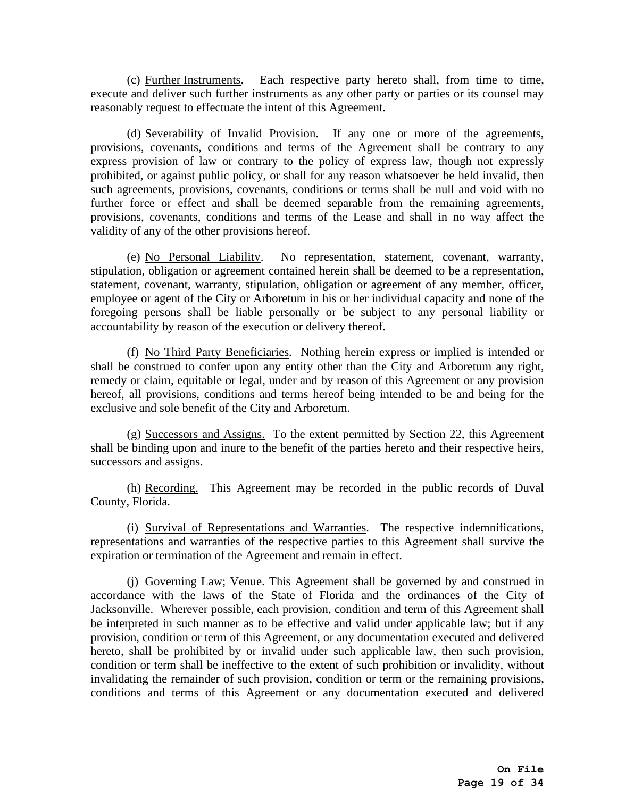(c) Further Instruments. Each respective party hereto shall, from time to time, execute and deliver such further instruments as any other party or parties or its counsel may reasonably request to effectuate the intent of this Agreement.

(d) Severability of Invalid Provision. If any one or more of the agreements, provisions, covenants, conditions and terms of the Agreement shall be contrary to any express provision of law or contrary to the policy of express law, though not expressly prohibited, or against public policy, or shall for any reason whatsoever be held invalid, then such agreements, provisions, covenants, conditions or terms shall be null and void with no further force or effect and shall be deemed separable from the remaining agreements, provisions, covenants, conditions and terms of the Lease and shall in no way affect the validity of any of the other provisions hereof.

(e) No Personal Liability. No representation, statement, covenant, warranty, stipulation, obligation or agreement contained herein shall be deemed to be a representation, statement, covenant, warranty, stipulation, obligation or agreement of any member, officer, employee or agent of the City or Arboretum in his or her individual capacity and none of the foregoing persons shall be liable personally or be subject to any personal liability or accountability by reason of the execution or delivery thereof.

(f) No Third Party Beneficiaries. Nothing herein express or implied is intended or shall be construed to confer upon any entity other than the City and Arboretum any right, remedy or claim, equitable or legal, under and by reason of this Agreement or any provision hereof, all provisions, conditions and terms hereof being intended to be and being for the exclusive and sole benefit of the City and Arboretum.

(g) Successors and Assigns. To the extent permitted by Section 22, this Agreement shall be binding upon and inure to the benefit of the parties hereto and their respective heirs, successors and assigns.

(h) Recording. This Agreement may be recorded in the public records of Duval County, Florida.

(i) Survival of Representations and Warranties. The respective indemnifications, representations and warranties of the respective parties to this Agreement shall survive the expiration or termination of the Agreement and remain in effect.

(j) Governing Law; Venue. This Agreement shall be governed by and construed in accordance with the laws of the State of Florida and the ordinances of the City of Jacksonville. Wherever possible, each provision, condition and term of this Agreement shall be interpreted in such manner as to be effective and valid under applicable law; but if any provision, condition or term of this Agreement, or any documentation executed and delivered hereto, shall be prohibited by or invalid under such applicable law, then such provision, condition or term shall be ineffective to the extent of such prohibition or invalidity, without invalidating the remainder of such provision, condition or term or the remaining provisions, conditions and terms of this Agreement or any documentation executed and delivered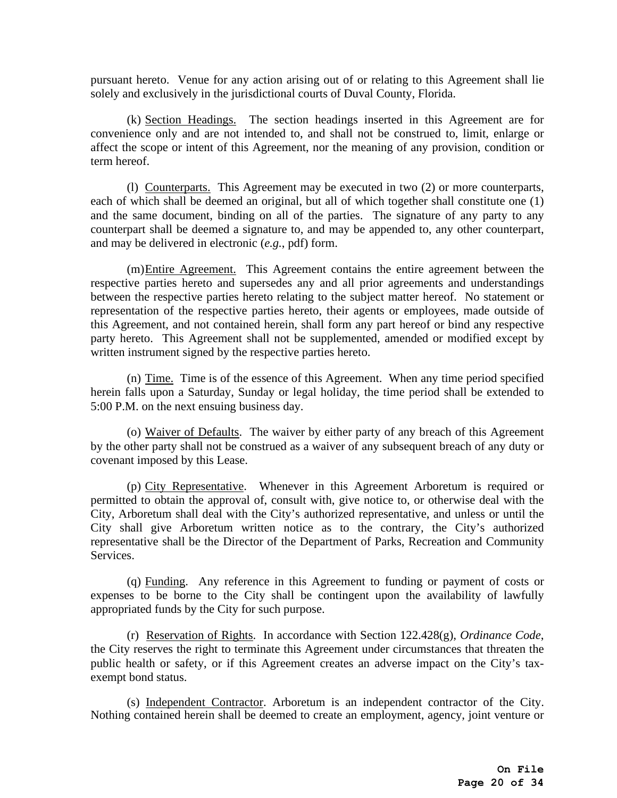pursuant hereto. Venue for any action arising out of or relating to this Agreement shall lie solely and exclusively in the jurisdictional courts of Duval County, Florida.

(k) Section Headings. The section headings inserted in this Agreement are for convenience only and are not intended to, and shall not be construed to, limit, enlarge or affect the scope or intent of this Agreement, nor the meaning of any provision, condition or term hereof.

(l) Counterparts. This Agreement may be executed in two (2) or more counterparts, each of which shall be deemed an original, but all of which together shall constitute one (1) and the same document, binding on all of the parties. The signature of any party to any counterpart shall be deemed a signature to, and may be appended to, any other counterpart, and may be delivered in electronic (*e.g.*, pdf) form.

(m)Entire Agreement. This Agreement contains the entire agreement between the respective parties hereto and supersedes any and all prior agreements and understandings between the respective parties hereto relating to the subject matter hereof. No statement or representation of the respective parties hereto, their agents or employees, made outside of this Agreement, and not contained herein, shall form any part hereof or bind any respective party hereto. This Agreement shall not be supplemented, amended or modified except by written instrument signed by the respective parties hereto.

(n) Time. Time is of the essence of this Agreement. When any time period specified herein falls upon a Saturday, Sunday or legal holiday, the time period shall be extended to 5:00 P.M. on the next ensuing business day.

(o) Waiver of Defaults. The waiver by either party of any breach of this Agreement by the other party shall not be construed as a waiver of any subsequent breach of any duty or covenant imposed by this Lease.

(p) City Representative. Whenever in this Agreement Arboretum is required or permitted to obtain the approval of, consult with, give notice to, or otherwise deal with the City, Arboretum shall deal with the City's authorized representative, and unless or until the City shall give Arboretum written notice as to the contrary, the City's authorized representative shall be the Director of the Department of Parks, Recreation and Community Services.

(q) Funding. Any reference in this Agreement to funding or payment of costs or expenses to be borne to the City shall be contingent upon the availability of lawfully appropriated funds by the City for such purpose.

(r) Reservation of Rights. In accordance with Section 122.428(g), *Ordinance Code*, the City reserves the right to terminate this Agreement under circumstances that threaten the public health or safety, or if this Agreement creates an adverse impact on the City's taxexempt bond status.

(s) Independent Contractor. Arboretum is an independent contractor of the City. Nothing contained herein shall be deemed to create an employment, agency, joint venture or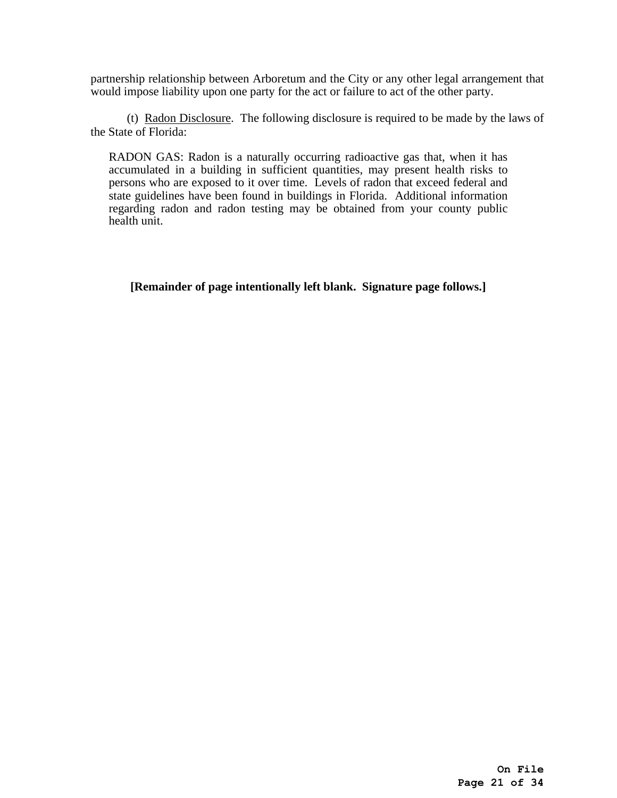partnership relationship between Arboretum and the City or any other legal arrangement that would impose liability upon one party for the act or failure to act of the other party.

(t) Radon Disclosure. The following disclosure is required to be made by the laws of the State of Florida:

RADON GAS: Radon is a naturally occurring radioactive gas that, when it has accumulated in a building in sufficient quantities, may present health risks to persons who are exposed to it over time. Levels of radon that exceed federal and state guidelines have been found in buildings in Florida. Additional information regarding radon and radon testing may be obtained from your county public health unit.

**[Remainder of page intentionally left blank. Signature page follows.]**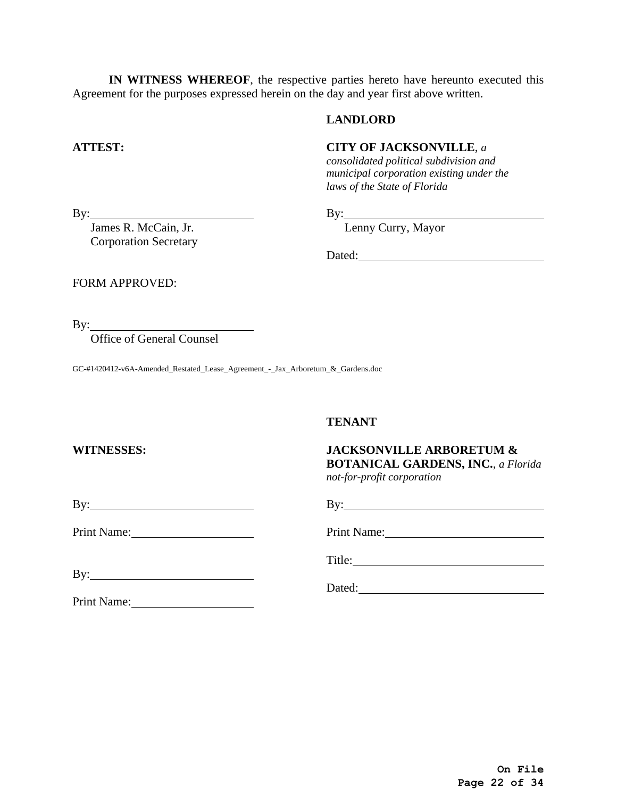**IN WITNESS WHEREOF**, the respective parties hereto have hereunto executed this Agreement for the purposes expressed herein on the day and year first above written.

### **LANDLORD**

### **ATTEST: CITY OF JACKSONVILLE**, *a*

*consolidated political subdivision and municipal corporation existing under the laws of the State of Florida* 

By: James R. McCain, Jr.

By: Lenny Curry, Mayor

Corporation Secretary

Dated:

FORM APPROVED:

By:

Office of General Counsel

GC-#1420412-v6A-Amended\_Restated\_Lease\_Agreement\_-\_Jax\_Arboretum\_&\_Gardens.doc

### **TENANT**

### **WITNESSES: JACKSONVILLE ARBORETUM & BOTANICAL GARDENS, INC.**, *a Florida not-for-profit corporation*

By: By:

Print Name: Print Name:

By:

Print Name:

Title:

Dated: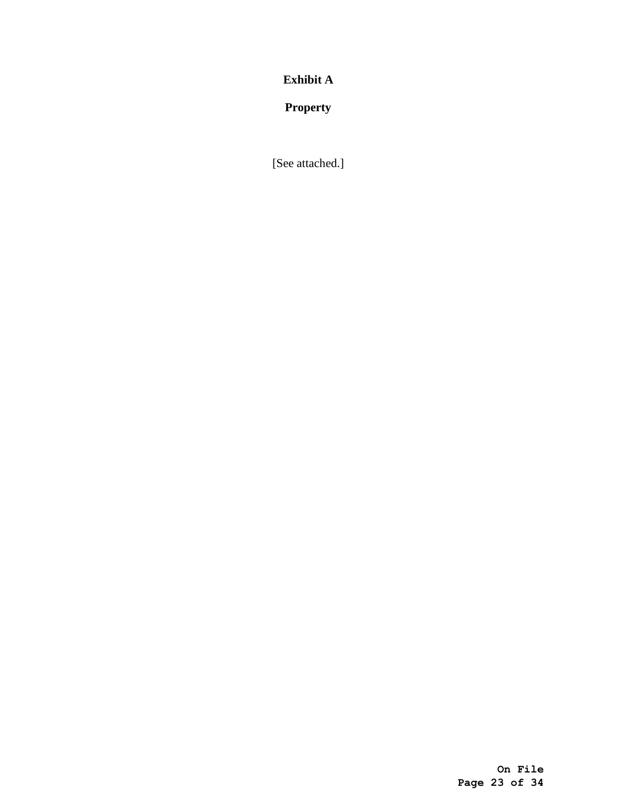**Exhibit A**

**Property**

[See attached.]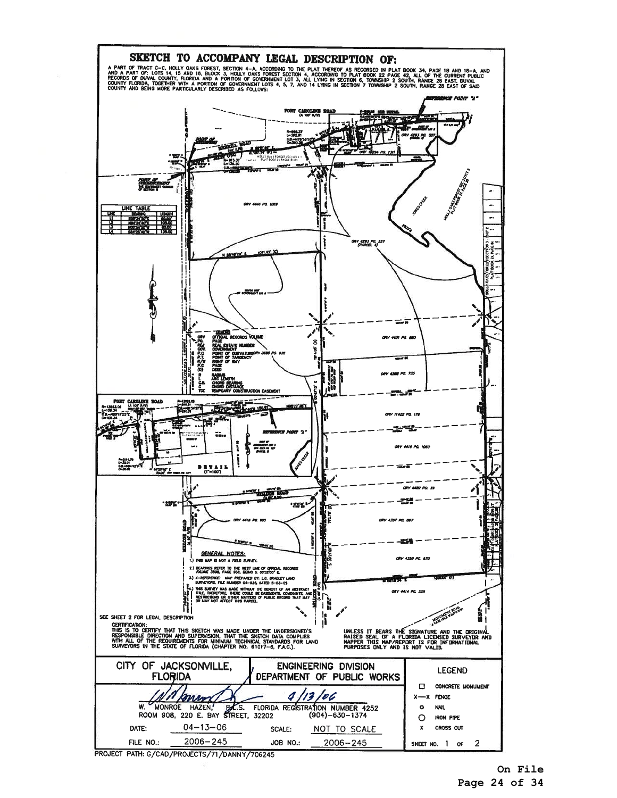

**On File Page 24 of 34**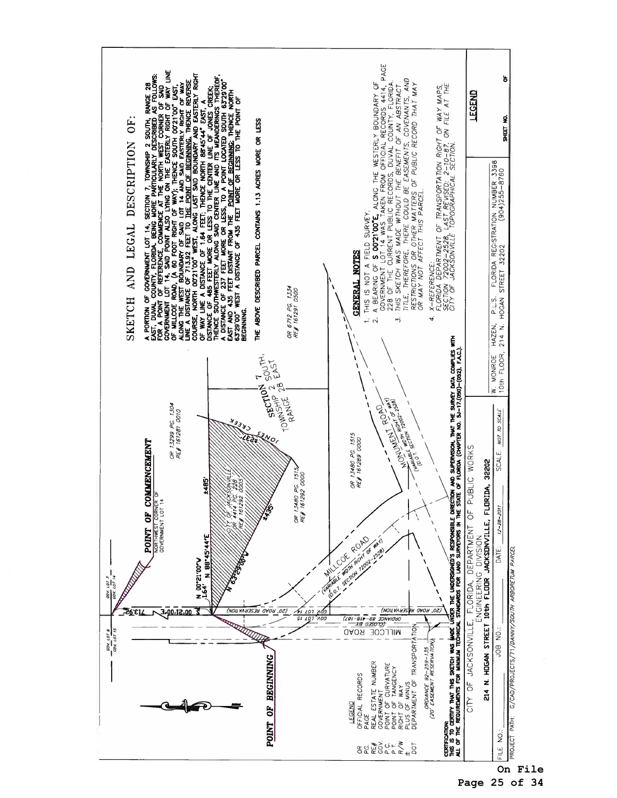

**On File** 

**Page 25 of 34**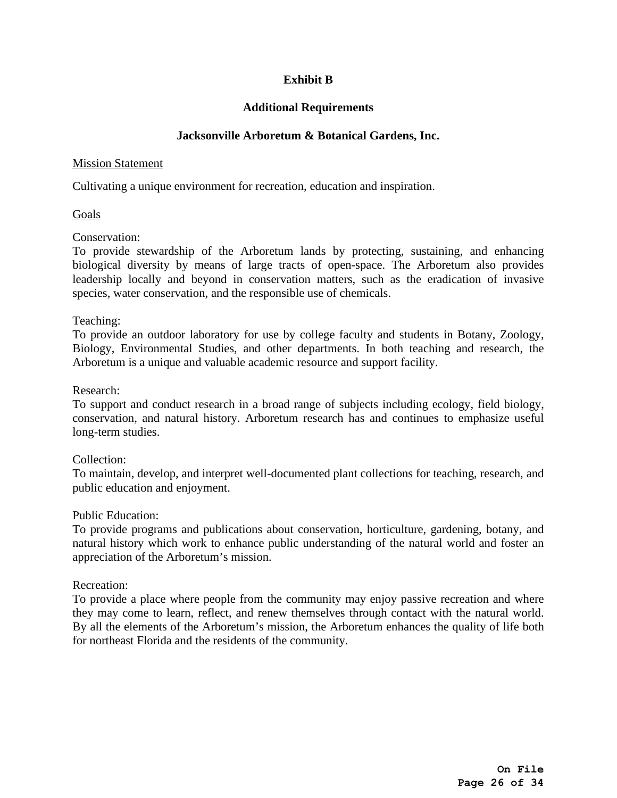# **Exhibit B**

# **Additional Requirements**

### **Jacksonville Arboretum & Botanical Gardens, Inc.**

### Mission Statement

Cultivating a unique environment for recreation, education and inspiration.

Goals

Conservation:

To provide stewardship of the Arboretum lands by protecting, sustaining, and enhancing biological diversity by means of large tracts of open-space. The Arboretum also provides leadership locally and beyond in conservation matters, such as the eradication of invasive species, water conservation, and the responsible use of chemicals.

### Teaching:

To provide an outdoor laboratory for use by college faculty and students in Botany, Zoology, Biology, Environmental Studies, and other departments. In both teaching and research, the Arboretum is a unique and valuable academic resource and support facility.

### Research:

To support and conduct research in a broad range of subjects including ecology, field biology, conservation, and natural history. Arboretum research has and continues to emphasize useful long-term studies.

### Collection:

To maintain, develop, and interpret well-documented plant collections for teaching, research, and public education and enjoyment.

### Public Education:

To provide programs and publications about conservation, horticulture, gardening, botany, and natural history which work to enhance public understanding of the natural world and foster an appreciation of the Arboretum's mission.

### Recreation:

To provide a place where people from the community may enjoy passive recreation and where they may come to learn, reflect, and renew themselves through contact with the natural world. By all the elements of the Arboretum's mission, the Arboretum enhances the quality of life both for northeast Florida and the residents of the community.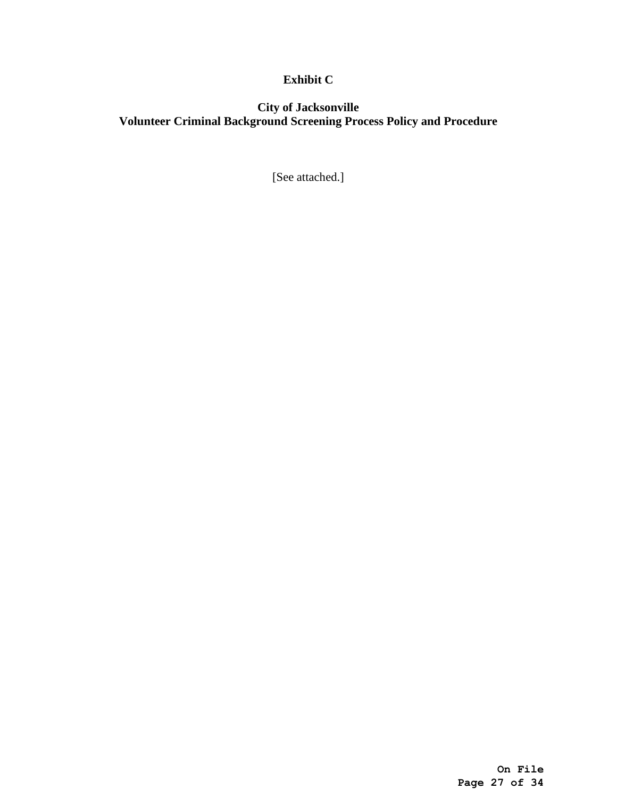# **Exhibit C**

# **City of Jacksonville Volunteer Criminal Background Screening Process Policy and Procedure**

[See attached.]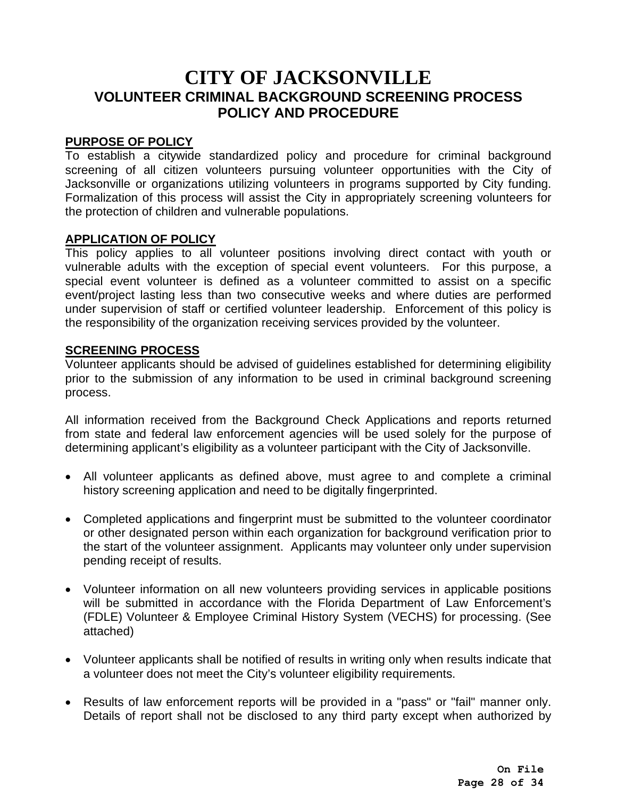# **CITY OF JACKSONVILLE VOLUNTEER CRIMINAL BACKGROUND SCREENING PROCESS POLICY AND PROCEDURE**

# **PURPOSE OF POLICY**

To establish a citywide standardized policy and procedure for criminal background screening of all citizen volunteers pursuing volunteer opportunities with the City of Jacksonville or organizations utilizing volunteers in programs supported by City funding. Formalization of this process will assist the City in appropriately screening volunteers for the protection of children and vulnerable populations.

# **APPLICATION OF POLICY**

This policy applies to all volunteer positions involving direct contact with youth or vulnerable adults with the exception of special event volunteers. For this purpose, a special event volunteer is defined as a volunteer committed to assist on a specific event/project lasting less than two consecutive weeks and where duties are performed under supervision of staff or certified volunteer leadership. Enforcement of this policy is the responsibility of the organization receiving services provided by the volunteer.

# **SCREENING PROCESS**

Volunteer applicants should be advised of guidelines established for determining eligibility prior to the submission of any information to be used in criminal background screening process.

All information received from the Background Check Applications and reports returned from state and federal law enforcement agencies will be used solely for the purpose of determining applicant's eligibility as a volunteer participant with the City of Jacksonville.

- All volunteer applicants as defined above, must agree to and complete a criminal history screening application and need to be digitally fingerprinted.
- Completed applications and fingerprint must be submitted to the volunteer coordinator or other designated person within each organization for background verification prior to the start of the volunteer assignment. Applicants may volunteer only under supervision pending receipt of results.
- Volunteer information on all new volunteers providing services in applicable positions will be submitted in accordance with the Florida Department of Law Enforcement's (FDLE) Volunteer & Employee Criminal History System (VECHS) for processing. (See attached)
- Volunteer applicants shall be notified of results in writing only when results indicate that a volunteer does not meet the City's volunteer eligibility requirements.
- Results of law enforcement reports will be provided in a "pass" or "fail" manner only. Details of report shall not be disclosed to any third party except when authorized by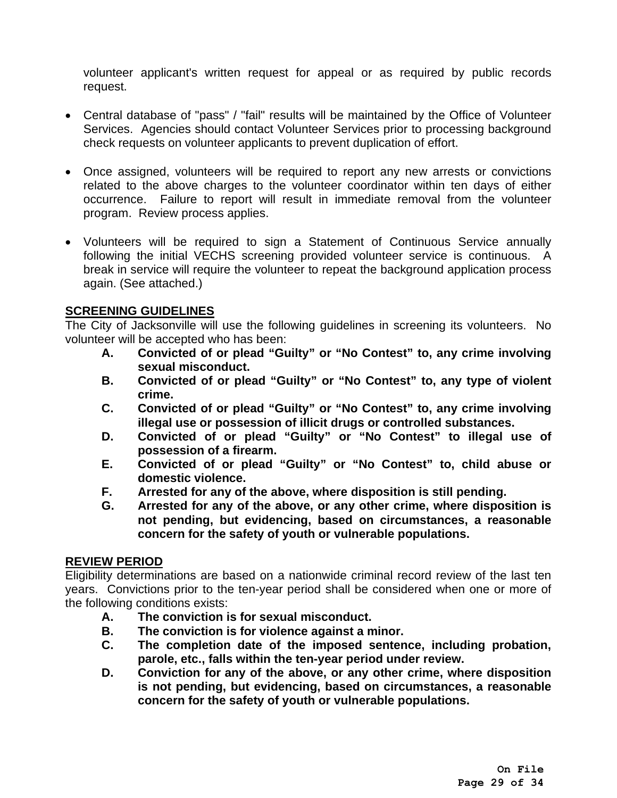volunteer applicant's written request for appeal or as required by public records request.

- Central database of "pass" / "fail" results will be maintained by the Office of Volunteer Services. Agencies should contact Volunteer Services prior to processing background check requests on volunteer applicants to prevent duplication of effort.
- Once assigned, volunteers will be required to report any new arrests or convictions related to the above charges to the volunteer coordinator within ten days of either occurrence. Failure to report will result in immediate removal from the volunteer program. Review process applies.
- Volunteers will be required to sign a Statement of Continuous Service annually following the initial VECHS screening provided volunteer service is continuous. A break in service will require the volunteer to repeat the background application process again. (See attached.)

# **SCREENING GUIDELINES**

The City of Jacksonville will use the following guidelines in screening its volunteers. No volunteer will be accepted who has been:

- **A. Convicted of or plead "Guilty" or "No Contest" to, any crime involving sexual misconduct.**
- **B. Convicted of or plead "Guilty" or "No Contest" to, any type of violent crime.**
- **C. Convicted of or plead "Guilty" or "No Contest" to, any crime involving illegal use or possession of illicit drugs or controlled substances.**
- **D. Convicted of or plead "Guilty" or "No Contest" to illegal use of possession of a firearm.**
- **E. Convicted of or plead "Guilty" or "No Contest" to, child abuse or domestic violence.**
- **F. Arrested for any of the above, where disposition is still pending.**
- **G. Arrested for any of the above, or any other crime, where disposition is not pending, but evidencing, based on circumstances, a reasonable concern for the safety of youth or vulnerable populations.**

# **REVIEW PERIOD**

Eligibility determinations are based on a nationwide criminal record review of the last ten years. Convictions prior to the ten-year period shall be considered when one or more of the following conditions exists:

- **A. The conviction is for sexual misconduct.**
- **B. The conviction is for violence against a minor.**
- **C. The completion date of the imposed sentence, including probation, parole, etc., falls within the ten-year period under review.**
- **D. Conviction for any of the above, or any other crime, where disposition is not pending, but evidencing, based on circumstances, a reasonable concern for the safety of youth or vulnerable populations.**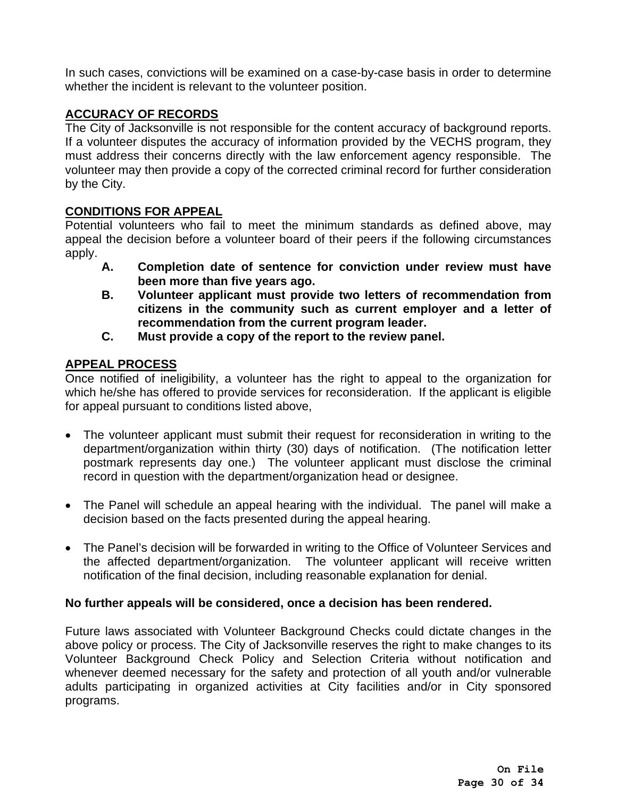In such cases, convictions will be examined on a case-by-case basis in order to determine whether the incident is relevant to the volunteer position.

# **ACCURACY OF RECORDS**

The City of Jacksonville is not responsible for the content accuracy of background reports. If a volunteer disputes the accuracy of information provided by the VECHS program, they must address their concerns directly with the law enforcement agency responsible. The volunteer may then provide a copy of the corrected criminal record for further consideration by the City.

# **CONDITIONS FOR APPEAL**

Potential volunteers who fail to meet the minimum standards as defined above, may appeal the decision before a volunteer board of their peers if the following circumstances apply.

- **A. Completion date of sentence for conviction under review must have been more than five years ago.**
- **B. Volunteer applicant must provide two letters of recommendation from citizens in the community such as current employer and a letter of recommendation from the current program leader.**
- **C. Must provide a copy of the report to the review panel.**

# **APPEAL PROCESS**

Once notified of ineligibility, a volunteer has the right to appeal to the organization for which he/she has offered to provide services for reconsideration. If the applicant is eligible for appeal pursuant to conditions listed above,

- The volunteer applicant must submit their request for reconsideration in writing to the department/organization within thirty (30) days of notification. (The notification letter postmark represents day one.) The volunteer applicant must disclose the criminal record in question with the department/organization head or designee.
- The Panel will schedule an appeal hearing with the individual. The panel will make a decision based on the facts presented during the appeal hearing.
- The Panel's decision will be forwarded in writing to the Office of Volunteer Services and the affected department/organization. The volunteer applicant will receive written notification of the final decision, including reasonable explanation for denial.

# **No further appeals will be considered, once a decision has been rendered.**

Future laws associated with Volunteer Background Checks could dictate changes in the above policy or process. The City of Jacksonville reserves the right to make changes to its Volunteer Background Check Policy and Selection Criteria without notification and whenever deemed necessary for the safety and protection of all youth and/or vulnerable adults participating in organized activities at City facilities and/or in City sponsored programs.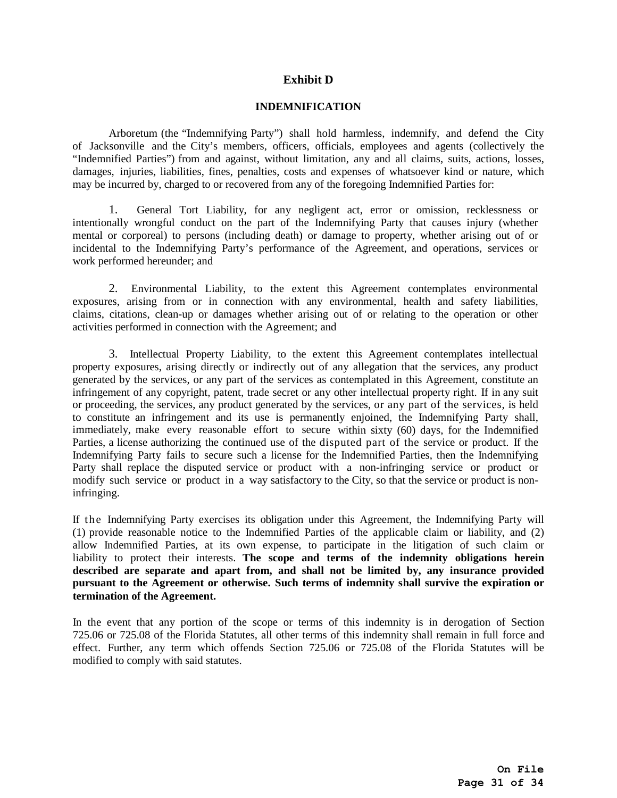### **Exhibit D**

### **INDEMNIFICATION**

Arboretum (the "Indemnifying Party") shall hold harmless, indemnify, and defend the City of Jacksonville and the City's members, officers, officials, employees and agents (collectively the "Indemnified Parties") from and against, without limitation, any and all claims, suits, actions, losses, damages, injuries, liabilities, fines, penalties, costs and expenses of whatsoever kind or nature, which may be incurred by, charged to or recovered from any of the foregoing Indemnified Parties for:

1. General Tort Liability, for any negligent act, error or omission, recklessness or intentionally wrongful conduct on the part of the Indemnifying Party that causes injury (whether mental or corporeal) to persons (including death) or damage to property, whether arising out of or incidental to the Indemnifying Party's performance of the Agreement, and operations, services or work performed hereunder; and

2. Environmental Liability, to the extent this Agreement contemplates environmental exposures, arising from or in connection with any environmental, health and safety liabilities, claims, citations, clean-up or damages whether arising out of or relating to the operation or other activities performed in connection with the Agreement; and

3. Intellectual Property Liability, to the extent this Agreement contemplates intellectual property exposures, arising directly or indirectly out of any allegation that the services, any product generated by the services, or any part of the services as contemplated in this Agreement, constitute an infringement of any copyright, patent, trade secret or any other intellectual property right. If in any suit or proceeding, the services, any product generated by the services, or any part of the services, is held to constitute an infringement and its use is permanently enjoined, the Indemnifying Party shall, immediately, make every reasonable effort to secure within sixty (60) days, for the Indemnified Parties, a license authorizing the continued use of the disputed part of the service or product. If the Indemnifying Party fails to secure such a license for the Indemnified Parties, then the Indemnifying Party shall replace the disputed service or product with a non-infringing service or product or modify such service or product in a way satisfactory to the City, so that the service or product is noninfringing.

If the Indemnifying Party exercises its obligation under this Agreement, the Indemnifying Party will (1) provide reasonable notice to the Indemnified Parties of the applicable claim or liability, and (2) allow Indemnified Parties, at its own expense, to participate in the litigation of such claim or liability to protect their interests. **The scope and terms of the indemnity obligations herein described are separate and apart from, and shall not be limited by, any insurance provided pursuant to the Agreement or otherwise. Such terms of indemnity shall survive the expiration or termination of the Agreement.**

In the event that any portion of the scope or terms of this indemnity is in derogation of Section 725.06 or 725.08 of the Florida Statutes, all other terms of this indemnity shall remain in full force and effect. Further, any term which offends Section 725.06 or 725.08 of the Florida Statutes will be modified to comply with said statutes.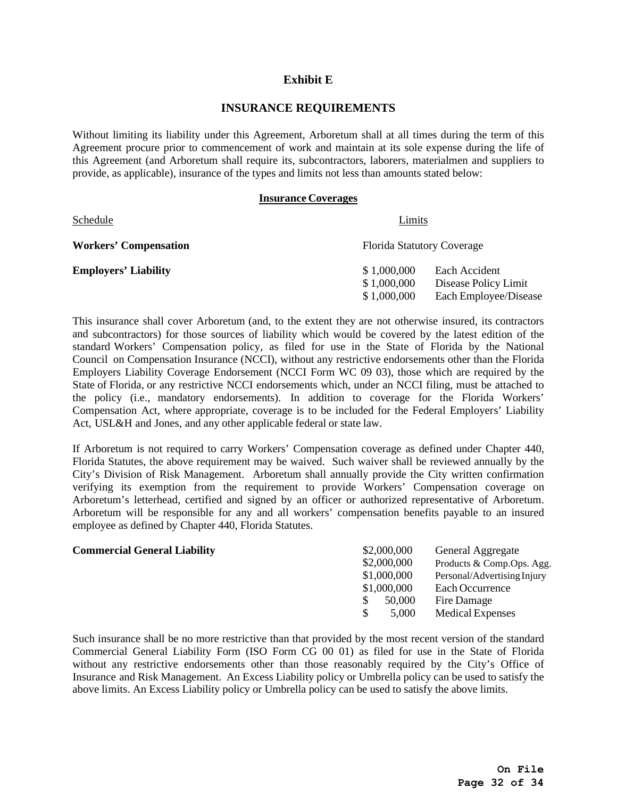### **Exhibit E**

### **INSURANCE REQUIREMENTS**

Without limiting its liability under this Agreement, Arboretum shall at all times during the term of this Agreement procure prior to commencement of work and maintain at its sole expense during the life of this Agreement (and Arboretum shall require its, subcontractors, laborers, materialmen and suppliers to provide, as applicable), insurance of the types and limits not less than amounts stated below:

### **Insurance Coverages**

| Schedule                     | Limits                            |                       |  |
|------------------------------|-----------------------------------|-----------------------|--|
| <b>Workers' Compensation</b> | <b>Florida Statutory Coverage</b> |                       |  |
| <b>Employers' Liability</b>  | \$1,000,000                       | Each Accident         |  |
|                              | \$1,000,000                       | Disease Policy Limit  |  |
|                              | \$1,000,000                       | Each Employee/Disease |  |

This insurance shall cover Arboretum (and, to the extent they are not otherwise insured, its contractors and subcontractors) for those sources of liability which would be covered by the latest edition of the standard Workers' Compensation policy, as filed for use in the State of Florida by the National Council on Compensation Insurance (NCCI), without any restrictive endorsements other than the Florida Employers Liability Coverage Endorsement (NCCI Form WC 09 03), those which are required by the State of Florida, or any restrictive NCCI endorsements which, under an NCCI filing, must be attached to the policy (i.e., mandatory endorsements). In addition to coverage for the Florida Workers' Compensation Act, where appropriate, coverage is to be included for the Federal Employers' Liability Act, USL&H and Jones, and any other applicable federal or state law.

If Arboretum is not required to carry Workers' Compensation coverage as defined under Chapter 440, Florida Statutes, the above requirement may be waived. Such waiver shall be reviewed annually by the City's Division of Risk Management. Arboretum shall annually provide the City written confirmation verifying its exemption from the requirement to provide Workers' Compensation coverage on Arboretum's letterhead, certified and signed by an officer or authorized representative of Arboretum. Arboretum will be responsible for any and all workers' compensation benefits payable to an insured employee as defined by Chapter 440, Florida Statutes.

| <b>Commercial General Liability</b> | \$2,000,000 | General Aggregate           |
|-------------------------------------|-------------|-----------------------------|
|                                     | \$2,000,000 | Products & Comp.Ops. Agg.   |
|                                     | \$1,000,000 | Personal/Advertising Injury |
|                                     | \$1,000,000 | Each Occurrence             |
|                                     | 50,000      | Fire Damage                 |
|                                     | 5,000       | Medical Expenses            |

Such insurance shall be no more restrictive than that provided by the most recent version of the standard Commercial General Liability Form (ISO Form CG 00 01) as filed for use in the State of Florida without any restrictive endorsements other than those reasonably required by the City's Office of Insurance and Risk Management. An Excess Liability policy or Umbrella policy can be used to satisfy the above limits. An Excess Liability policy or Umbrella policy can be used to satisfy the above limits.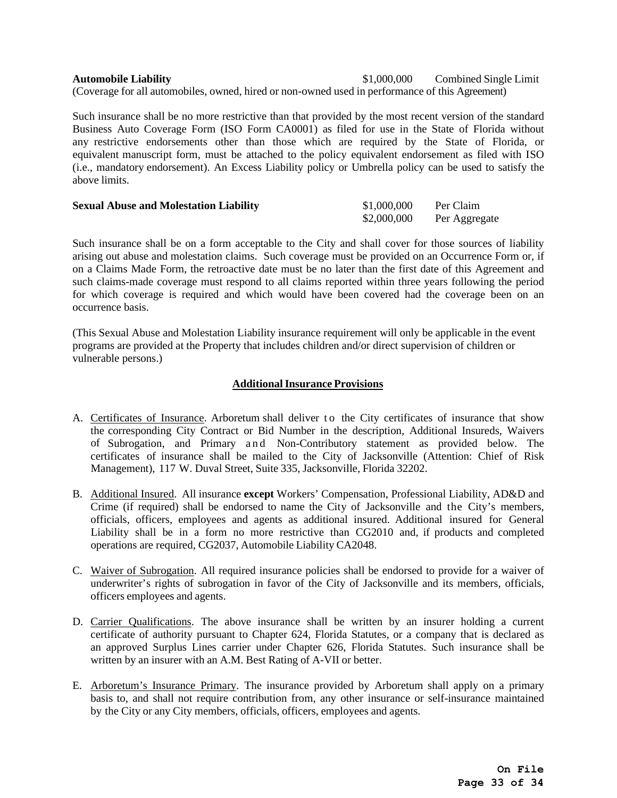**Automobile Liability** \$1,000,000 Combined Single Limit (Coverage for all automobiles, owned, hired or non-owned used in performance of this Agreement)

Such insurance shall be no more restrictive than that provided by the most recent version of the standard Business Auto Coverage Form (ISO Form CA0001) as filed for use in the State of Florida without any restrictive endorsements other than those which are required by the State of Florida, or equivalent manuscript form, must be attached to the policy equivalent endorsement as filed with ISO (i.e., mandatory endorsement). An Excess Liability policy or Umbrella policy can be used to satisfy the above limits.

| <b>Sexual Abuse and Molestation Liability</b> | \$1,000,000 | Per Claim     |
|-----------------------------------------------|-------------|---------------|
|                                               | \$2,000,000 | Per Aggregate |

Such insurance shall be on a form acceptable to the City and shall cover for those sources of liability arising out abuse and molestation claims. Such coverage must be provided on an Occurrence Form or, if on a Claims Made Form, the retroactive date must be no later than the first date of this Agreement and such claims-made coverage must respond to all claims reported within three years following the period for which coverage is required and which would have been covered had the coverage been on an occurrence basis.

(This Sexual Abuse and Molestation Liability insurance requirement will only be applicable in the event programs are provided at the Property that includes children and/or direct supervision of children or vulnerable persons.)

### **Additional Insurance Provisions**

- A. Certificates of Insurance. Arboretum shall deliver to the City certificates of insurance that show the corresponding City Contract or Bid Number in the description, Additional Insureds, Waivers of Subrogation, and Primary and Non-Contributory statement as provided below. The certificates of insurance shall be mailed to the City of Jacksonville (Attention: Chief of Risk Management), 117 W. Duval Street, Suite 335, Jacksonville, Florida 32202.
- B. Additional Insured. All insurance **except** Workers' Compensation, Professional Liability, AD&D and Crime (if required) shall be endorsed to name the City of Jacksonville and the City's members, officials, officers, employees and agents as additional insured. Additional insured for General Liability shall be in a form no more restrictive than CG2010 and, if products and completed operations are required, CG2037, Automobile Liability CA2048.
- C. Waiver of Subrogation. All required insurance policies shall be endorsed to provide for a waiver of underwriter's rights of subrogation in favor of the City of Jacksonville and its members, officials, officers employees and agents.
- D. Carrier Qualifications. The above insurance shall be written by an insurer holding a current certificate of authority pursuant to Chapter 624, Florida Statutes, or a company that is declared as an approved Surplus Lines carrier under Chapter 626, Florida Statutes. Such insurance shall be written by an insurer with an A.M. Best Rating of A-VII or better.
- E. Arboretum's Insurance Primary. The insurance provided by Arboretum shall apply on a primary basis to, and shall not require contribution from, any other insurance or self-insurance maintained by the City or any City members, officials, officers, employees and agents.